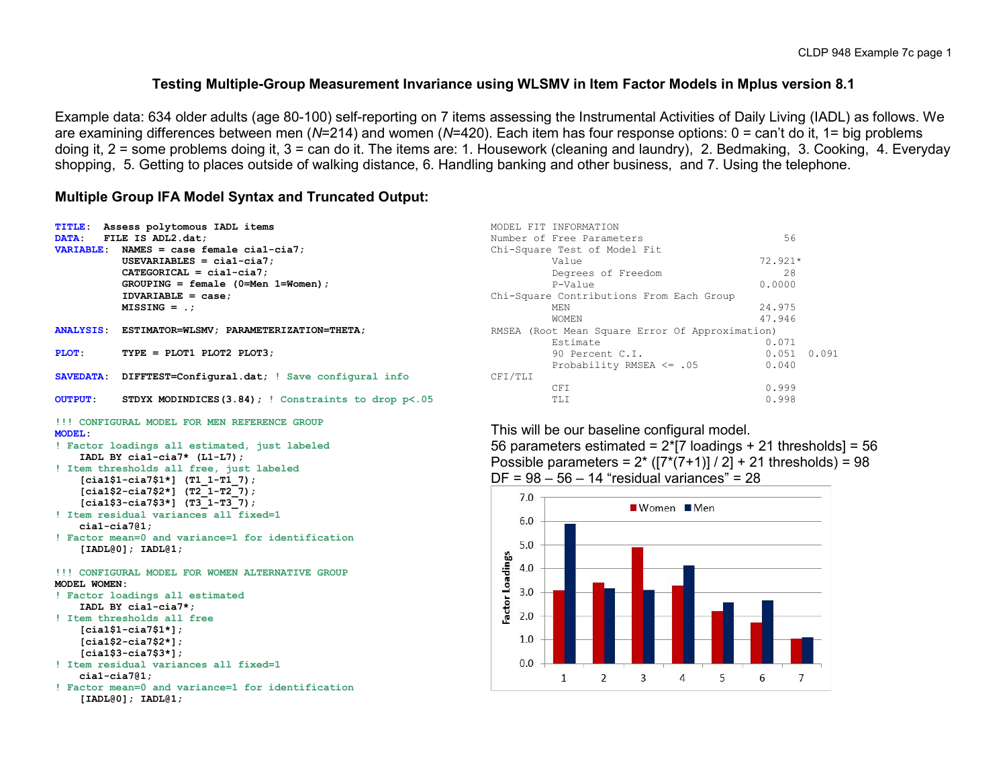### **Testing Multiple-Group Measurement Invariance using WLSMV in Item Factor Models in Mplus version 8.1**

Example data: 634 older adults (age 80-100) self-reporting on 7 items assessing the Instrumental Activities of Daily Living (IADL) as follows. We are examining differences between men (*N*=214) and women (*N*=420). Each item has four response options: 0 = can't do it, 1= big problems doing it, 2 = some problems doing it, 3 = can do it. The items are: 1. Housework (cleaning and laundry), 2. Bedmaking, 3. Cooking, 4. Everyday shopping, 5. Getting to places outside of walking distance, 6. Handling banking and other business, and 7. Using the telephone.

### **Multiple Group IFA Model Syntax and Truncated Output:**

```
TITLE: Assess polytomous IADL items 
DATA: FILE IS ADL2.dat;
VARIABLE: NAMES = case female cia1-cia7;
           USEVARIABLES = cia1-cia7;
           CATEGORICAL = cia1-cia7;
           GROUPING = female (0=Men 1=Women);
           IDVARIABLE = case;
           MISSING = .;
ANALYSIS: ESTIMATOR=WLSMV; PARAMETERIZATION=THETA;
PLOT: TYPE = PLOT1 PLOT2 PLOT3;
SAVEDATA: DIFFTEST=Configural.dat; ! Save configural info
                                                                        CFI/TLI
OUTPUT: STDYX MODINDICES(3.84); ! Constraints to drop p<.05 
!!! CONFIGURAL MODEL FOR MEN REFERENCE GROUP 
MODEL: 
! Factor loadings all estimated, just labeled 
    IADL BY cia1-cia7* (L1-L7);
! Item thresholds all free, just labeled
     [cia1$1-cia7$1*] (T1_1-T1_7);
     [cia1$2-cia7$2*] (T2_1-T2_7);
                                                                             7.0 [cia1$3-cia7$3*] (T3_1-T3_7);
```

```
! Item residual variances all fixed=1
    cia1-cia7@1;
! Factor mean=0 and variance=1 for identification
```

```
 [IADL@0]; IADL@1;
```

```
!!! CONFIGURAL MODEL FOR WOMEN ALTERNATIVE GROUP 
MODEL WOMEN:
```

```
! Factor loadings all estimated 
     IADL BY cia1-cia7*;
! Item thresholds all free
     [cia1$1-cia7$1*];
     [cia1$2-cia7$2*];
     [cia1$3-cia7$3*];
```

```
! Item residual variances all fixed=1
    cia1-cia7@1;
```

```
! Factor mean=0 and variance=1 for identification
     [IADL@0]; IADL@1;
```

|         | MODEL FIT INFORMATION                           |           |       |  |  |  |  |  |  |
|---------|-------------------------------------------------|-----------|-------|--|--|--|--|--|--|
|         | Number of Free Parameters                       |           |       |  |  |  |  |  |  |
|         | Chi-Square Test of Model Fit                    |           |       |  |  |  |  |  |  |
|         | Value                                           | $72.921*$ |       |  |  |  |  |  |  |
|         | Degrees of Freedom                              | 28        |       |  |  |  |  |  |  |
|         | $P-Va$ lue                                      | 0.0000    |       |  |  |  |  |  |  |
|         | Chi-Square Contributions From Each Group        |           |       |  |  |  |  |  |  |
|         | MEN                                             | 24.975    |       |  |  |  |  |  |  |
|         | <b>WOMEN</b>                                    | 47.946    |       |  |  |  |  |  |  |
|         | RMSEA (Root Mean Square Error Of Approximation) |           |       |  |  |  |  |  |  |
|         | Estimate                                        | 0.071     |       |  |  |  |  |  |  |
|         | 90 Percent C.T.                                 | 0.051     | 0.091 |  |  |  |  |  |  |
|         | Probability RMSEA $\leq$ .05                    | 0.040     |       |  |  |  |  |  |  |
| CFI/TLI |                                                 |           |       |  |  |  |  |  |  |
|         | CFT.                                            | 0.999     |       |  |  |  |  |  |  |
|         | TT.T                                            | 0.998     |       |  |  |  |  |  |  |

This will be our baseline configural model.

56 parameters estimated =  $2 \times 7$  loadings + 21 thresholds = 56 Possible parameters =  $2^*$  ( $[7^*(7+1)] / 2] + 21$  thresholds) = 98  $DF = 98 - 56 - 14$  "residual variances" = 28

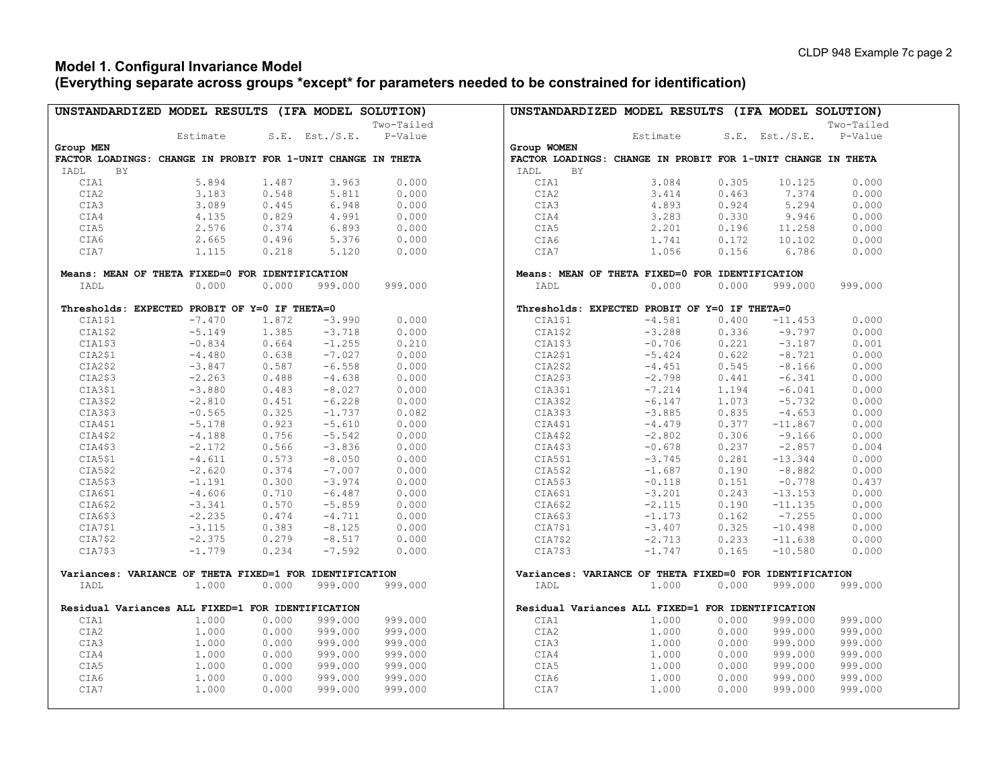### **Model 1. Configural Invariance Model (Everything separate across groups \*except\* for parameters needed to be constrained for identification)**

| UNSTANDARDIZED MODEL RESULTS (IFA MODEL SOLUTION)            |          |       |                |            | UNSTANDARDIZED MODEL RESULTS (IFA MODEL SOLUTION)            |                |                |            |
|--------------------------------------------------------------|----------|-------|----------------|------------|--------------------------------------------------------------|----------------|----------------|------------|
|                                                              |          |       |                | Two-Tailed |                                                              |                |                | Two-Tailed |
|                                                              | Estimate |       | S.E. Est./S.E. | P-Value    | Estimate                                                     |                | S.E. Est./S.E. | P-Value    |
| Group MEN                                                    |          |       |                |            | Group WOMEN                                                  |                |                |            |
| FACTOR LOADINGS: CHANGE IN PROBIT FOR 1-UNIT CHANGE IN THETA |          |       |                |            | FACTOR LOADINGS: CHANGE IN PROBIT FOR 1-UNIT CHANGE IN THETA |                |                |            |
| IADL<br>ΒY                                                   |          |       |                |            | BY<br>IADL                                                   |                |                |            |
| CIA1                                                         | 5.894    | 1.487 | 3.963          | 0.000      | CIA1                                                         | 3.084<br>0.305 | 10.125         | 0.000      |
| CIA2                                                         | 3.183    | 0.548 | 5.811          | 0.000      | CIA2                                                         | 3.414<br>0.463 | 7.374          | 0.000      |
|                                                              |          |       |                |            |                                                              |                |                |            |
| CIA3                                                         | 3.089    | 0.445 | 6.948          | 0.000      | CIA3                                                         | 4.893<br>0.924 | 5.294          | 0.000      |
| CIA4                                                         | 4.135    | 0.829 | 4.991          | 0.000      | CIA4                                                         | 3.283<br>0.330 | 9.946          | 0.000      |
| CIA5                                                         | 2.576    | 0.374 | 6.893          | 0.000      | CIA5<br>2.201                                                | 0.196          | 11.258         | 0.000      |
| CIA6                                                         | 2.665    | 0.496 | 5.376          | 0.000      | CIA6<br>1.741                                                | 0.172          | 10.102         | 0.000      |
| CIA7                                                         | 1.115    | 0.218 | 5.120          | 0.000      | 1.056<br>CIA7                                                | 0.156          | 6.786          | 0.000      |
| Means: MEAN OF THETA FIXED=0 FOR IDENTIFICATION              |          |       |                |            | Means: MEAN OF THETA FIXED=0 FOR IDENTIFICATION              |                |                |            |
| IADL                                                         | 0.000    | 0.000 | 999.000        | 999.000    | 0.000<br>IADL                                                | 0.000          | 999.000        | 999.000    |
| Thresholds: EXPECTED PROBIT OF Y=0 IF THETA=0                |          |       |                |            | Thresholds: EXPECTED PROBIT OF Y=0 IF THETA=0                |                |                |            |
| CIA1\$1                                                      | $-7.470$ | 1.872 | $-3.990$       | 0.000      | CIA1\$1<br>$-4.581$                                          | 0.400          | $-11.453$      | 0.000      |
| CIA1\$2                                                      | $-5.149$ | 1.385 | $-3.718$       | 0.000      | CIA1\$2<br>$-3.288$                                          | 0.336          | $-9.797$       | 0.000      |
| CIA1\$3                                                      | $-0.834$ | 0.664 | $-1.255$       | 0.210      | CIA1\$3<br>$-0.706$                                          | 0.221          | $-3.187$       | 0.001      |
| CIA2\$1                                                      | $-4.480$ | 0.638 | $-7.027$       | 0.000      | CIA2\$1<br>$-5.424$                                          | 0.622          | $-8.721$       | 0.000      |
| CIA2\$2                                                      | $-3.847$ | 0.587 | $-6.558$       | 0.000      | CIA2\$2<br>$-4.451$                                          | 0.545          | $-8.166$       | 0.000      |
| CIA2\$3                                                      | $-2.263$ | 0.488 | $-4.638$       | 0.000      | CIA2\$3<br>$-2.798$                                          | 0.441          | $-6.341$       | 0.000      |
| CIA3\$1                                                      | $-3.880$ | 0.483 | $-8.027$       | 0.000      | CIA3\$1<br>$-7.214$                                          | 1.194          | $-6.041$       | 0.000      |
| CIA3\$2                                                      | $-2.810$ | 0.451 | $-6.228$       | 0.000      | CIA3\$2<br>$-6.147$                                          | 1.073          | $-5.732$       | 0.000      |
| CIA3\$3                                                      | $-0.565$ | 0.325 | $-1.737$       | 0.082      | CIA3\$3<br>$-3.885$                                          | 0.835          | $-4.653$       | 0.000      |
| CIA4\$1                                                      | $-5.178$ | 0.923 | $-5.610$       | 0.000      | CIA4\$1<br>$-4.479$                                          | 0.377          | $-11.867$      | 0.000      |
| CIA4\$2                                                      | $-4.188$ | 0.756 | $-5.542$       | 0.000      | CIA4\$2<br>$-2.802$                                          | 0.306          | $-9.166$       | 0.000      |
| CIA4\$3                                                      | $-2.172$ | 0.566 | $-3.836$       | 0.000      | CIA4\$3<br>$-0.678$                                          | 0.237          | $-2.857$       | 0.004      |
| CIA5\$1                                                      | $-4.611$ | 0.573 | $-8.050$       | 0.000      | CIA5\$1<br>$-3.745$                                          | 0.281          | $-13.344$      | 0.000      |
| CIA5\$2                                                      | $-2.620$ | 0.374 | $-7.007$       | 0.000      | CIA5\$2<br>$-1.687$                                          | 0.190          | $-8.882$       | 0.000      |
| CIA5\$3                                                      | $-1.191$ | 0.300 | $-3.974$       | 0.000      | CIA5\$3<br>$-0.118$                                          | 0.151          | $-0.778$       | 0.437      |
| CIA6\$1                                                      | $-4.606$ | 0.710 | $-6.487$       | 0.000      | CIA6\$1<br>$-3.201$                                          | 0.243          | $-13.153$      | 0.000      |
| CIA6\$2                                                      | $-3.341$ | 0.570 | $-5.859$       | 0.000      | CIA6\$2<br>$-2.115$                                          | 0.190          | $-11.135$      | 0.000      |
| CIA6\$3                                                      | $-2.235$ | 0.474 | $-4.711$       | 0.000      | CIA6\$3<br>$-1.173$                                          | 0.162          | $-7.255$       | 0.000      |
| CIA7\$1                                                      |          | 0.383 |                | 0.000      | CIA7\$1<br>$-3.407$                                          | 0.325          | $-10.498$      | 0.000      |
|                                                              | $-3.115$ |       | $-8.125$       |            |                                                              |                |                |            |
| CIA7\$2                                                      | $-2.375$ | 0.279 | $-8.517$       | 0.000      | CIA7\$2<br>$-2.713$                                          | 0.233          | $-11.638$      | 0.000      |
| CIA7\$3                                                      | $-1.779$ | 0.234 | $-7.592$       | 0.000      | CIA7\$3<br>$-1.747$                                          | 0.165          | $-10.580$      | 0.000      |
| Variances: VARIANCE OF THETA FIXED=1 FOR IDENTIFICATION      |          |       |                |            | Variances: VARIANCE OF THETA FIXED=0 FOR IDENTIFICATION      |                |                |            |
| IADL                                                         | 1,000    | 0.000 | 999.000        | 999.000    | 1,000<br>IADL                                                | 0.000          | 999.000        | 999.000    |
| Residual Variances ALL FIXED=1 FOR IDENTIFICATION            |          |       |                |            | Residual Variances ALL FIXED=1 FOR IDENTIFICATION            |                |                |            |
| CIA1                                                         | 1.000    | 0.000 | 999.000        | 999.000    | CIA1<br>1.000                                                | 0.000          | 999.000        | 999.000    |
| CIA2                                                         | 1.000    | 0.000 | 999.000        | 999.000    | CIA2<br>1,000                                                | 0.000          | 999.000        | 999.000    |
| CIA3                                                         | 1.000    | 0.000 | 999.000        | 999.000    | 1.000<br>CIA3                                                | 0.000          | 999.000        | 999.000    |
| CIA4                                                         | 1.000    | 0.000 | 999.000        | 999.000    | CIA4<br>1.000                                                | 0.000          | 999.000        | 999.000    |
| CIA5                                                         | 1.000    | 0.000 | 999.000        | 999.000    | CIA5<br>1.000                                                | 0.000          | 999.000        | 999.000    |
| CIA6                                                         | 1.000    | 0.000 | 999.000        | 999.000    | CIA6<br>1.000                                                | 0.000          | 999.000        | 999.000    |
| CIA7                                                         | 1.000    | 0.000 | 999.000        | 999.000    | CIA7<br>1.000                                                | 0.000          | 999.000        | 999.000    |
|                                                              |          |       |                |            |                                                              |                |                |            |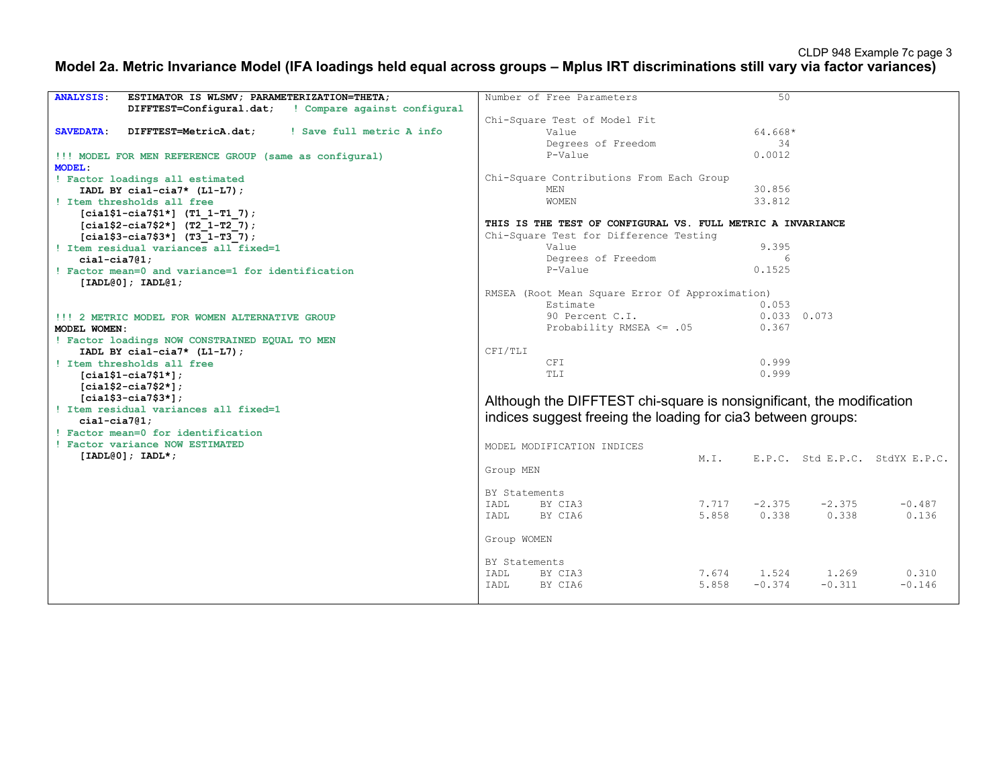### **Model 2a. Metric Invariance Model (IFA loadings held equal across groups – Mplus IRT discriminations still vary via factor variances)**

| ESTIMATOR IS WLSMV; PARAMETERIZATION=THETA;<br><b>ANALYSIS:</b>        | Number of Free Parameters                                            | 50                                        |  |  |  |  |  |  |
|------------------------------------------------------------------------|----------------------------------------------------------------------|-------------------------------------------|--|--|--|--|--|--|
|                                                                        |                                                                      |                                           |  |  |  |  |  |  |
| DIFFTEST=Configural.dat; ! Compare against configural                  |                                                                      |                                           |  |  |  |  |  |  |
|                                                                        | Chi-Square Test of Model Fit                                         |                                           |  |  |  |  |  |  |
| ! Save full metric A info<br><b>SAVEDATA:</b><br>DIFFTEST=MetricA.dat; | Value                                                                | 64.668*                                   |  |  |  |  |  |  |
|                                                                        | Degrees of Freedom                                                   | 34                                        |  |  |  |  |  |  |
| !!! MODEL FOR MEN REFERENCE GROUP (same as configural)                 | P-Value                                                              | 0.0012                                    |  |  |  |  |  |  |
| MODEL:                                                                 |                                                                      |                                           |  |  |  |  |  |  |
| ! Factor loadings all estimated                                        | Chi-Square Contributions From Each Group                             |                                           |  |  |  |  |  |  |
| IADL BY cial-cia7* $(L1-L7)$ ;                                         | MEN                                                                  | 30.856                                    |  |  |  |  |  |  |
| ! Item thresholds all free                                             | <b>WOMEN</b>                                                         | 33.812                                    |  |  |  |  |  |  |
| $[cia1$1-ci27$1*]$ (T1 1-T1 7);                                        |                                                                      |                                           |  |  |  |  |  |  |
|                                                                        | THIS IS THE TEST OF CONFIGURAL VS. FULL METRIC A INVARIANCE          |                                           |  |  |  |  |  |  |
| $[cia1$2-cia7$2*]$ (T2 1-T2 7);                                        | Chi-Square Test for Difference Testing                               |                                           |  |  |  |  |  |  |
| $[cia1$3-cia7$3*]$ (T3 1-T3 7);                                        |                                                                      |                                           |  |  |  |  |  |  |
| ! Item residual variances all fixed=1                                  | Value                                                                | 9.395                                     |  |  |  |  |  |  |
| $cial-cia7@1:$                                                         | Degrees of Freedom                                                   | 6                                         |  |  |  |  |  |  |
| ! Factor mean=0 and variance=1 for identification                      | P-Value                                                              | 0.1525                                    |  |  |  |  |  |  |
| [IADL@0]; IADL@1;                                                      |                                                                      |                                           |  |  |  |  |  |  |
|                                                                        | RMSEA (Root Mean Square Error Of Approximation)                      |                                           |  |  |  |  |  |  |
|                                                                        | Estimate                                                             | 0.053                                     |  |  |  |  |  |  |
| !!! 2 METRIC MODEL FOR WOMEN ALTERNATIVE GROUP                         | 90 Percent C.I.                                                      | $0.033$ 0.073                             |  |  |  |  |  |  |
| MODEL WOMEN:                                                           | Probability RMSEA $\leq$ .05                                         | 0.367                                     |  |  |  |  |  |  |
| ! Factor loadings NOW CONSTRAINED EQUAL TO MEN                         |                                                                      |                                           |  |  |  |  |  |  |
| IADL BY cial-cia7* $(L1-L7)$ ;                                         | CFI/TLI                                                              |                                           |  |  |  |  |  |  |
| ! Item thresholds all free                                             | CFI                                                                  | 0.999                                     |  |  |  |  |  |  |
|                                                                        | TT.T                                                                 | 0.999                                     |  |  |  |  |  |  |
| $[cia1$1-cia7$1*];$                                                    |                                                                      |                                           |  |  |  |  |  |  |
| $[cia1$2-cia7$2*];$                                                    |                                                                      |                                           |  |  |  |  |  |  |
| $[cia1$3-cia7$3*];$                                                    | Although the DIFFTEST chi-square is nonsignificant, the modification |                                           |  |  |  |  |  |  |
| ! Item residual variances all fixed=1                                  | indices suggest freeing the loading for cia3 between groups:         |                                           |  |  |  |  |  |  |
| $cial-cia7@1;$                                                         |                                                                      |                                           |  |  |  |  |  |  |
| ! Factor mean=0 for identification                                     |                                                                      |                                           |  |  |  |  |  |  |
| ! Factor variance NOW ESTIMATED                                        | MODEL MODIFICATION INDICES                                           |                                           |  |  |  |  |  |  |
| $[IADL@0]; IADL*;$                                                     | M.T.                                                                 | E.P.C. Std E.P.C. StdYX E.P.C.            |  |  |  |  |  |  |
|                                                                        | Group MEN                                                            |                                           |  |  |  |  |  |  |
|                                                                        |                                                                      |                                           |  |  |  |  |  |  |
|                                                                        | BY Statements                                                        |                                           |  |  |  |  |  |  |
|                                                                        | BY CIA3<br>IADL                                                      | $-2.375$<br>$-2.375$<br>$-0.487$<br>7.717 |  |  |  |  |  |  |
|                                                                        | BY CIA6<br>5.858                                                     | 0.338<br>0.338<br>0.136                   |  |  |  |  |  |  |
|                                                                        | IADL                                                                 |                                           |  |  |  |  |  |  |
|                                                                        |                                                                      |                                           |  |  |  |  |  |  |
|                                                                        | Group WOMEN                                                          |                                           |  |  |  |  |  |  |
|                                                                        |                                                                      |                                           |  |  |  |  |  |  |
|                                                                        | BY Statements                                                        |                                           |  |  |  |  |  |  |
|                                                                        | IADL<br>BY CIA3                                                      | 1.524<br>1.269<br>0.310<br>7.674          |  |  |  |  |  |  |
|                                                                        | 5.858<br>BY CIA6<br>TADI.                                            | $-0.374$<br>$-0.311$<br>$-0.146$          |  |  |  |  |  |  |
|                                                                        |                                                                      |                                           |  |  |  |  |  |  |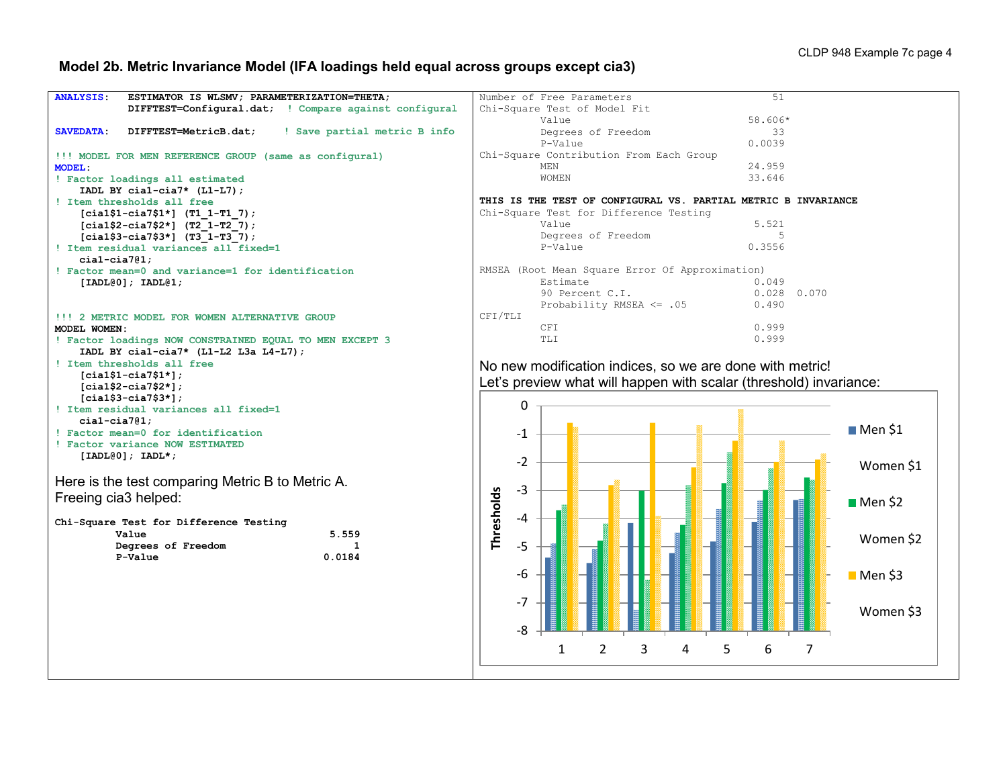# **Model 2b. Metric Invariance Model (IFA loadings held equal across groups except cia3)**

| <b>ANALYSIS:</b><br>ESTIMATOR IS WLSMV; PARAMETERIZATION=THETA;    | 51<br>Number of Free Parameters                                    |
|--------------------------------------------------------------------|--------------------------------------------------------------------|
| DIFFTEST=Configural.dat; ! Compare against configural              | Chi-Square Test of Model Fit                                       |
|                                                                    | 58.606*<br>Value                                                   |
| SAVEDATA:<br>DIFFTEST=MetricB.dat;<br>! Save partial metric B info | Degrees of Freedom<br>33                                           |
|                                                                    | P-Value<br>0.0039                                                  |
| !!! MODEL FOR MEN REFERENCE GROUP (same as configural)             | Chi-Square Contribution From Each Group                            |
| MODEL:                                                             | 24.959<br>MEN                                                      |
| ! Factor loadings all estimated                                    | 33.646<br><b>WOMEN</b>                                             |
| IADL BY cial-cia7* $(L1-L7)$ ;                                     |                                                                    |
| ! Item thresholds all free                                         | THIS IS THE TEST OF CONFIGURAL VS. PARTIAL METRIC B INVARIANCE     |
| $[cia1$1-ci27$1*]$ (T1 1-T1 7);                                    | Chi-Square Test for Difference Testing                             |
| $[cia1$2-ci27$2*]$ (T2 1-T2 7);                                    | 5.521<br>Value                                                     |
| $[cia1$3-cia7$3*]$ (T3 1-T3 7);                                    | Degrees of Freedom<br>5                                            |
| ! Item residual variances all fixed=1                              | P-Value<br>0.3556                                                  |
| $cial-cia7@1;$                                                     |                                                                    |
| ! Factor mean=0 and variance=1 for identification                  | RMSEA (Root Mean Square Error Of Approximation)                    |
| $[IADL@0];$ $IADL@1;$                                              | 0.049<br>Estimate                                                  |
|                                                                    | $0.028$ 0.070<br>90 Percent C.I.                                   |
|                                                                    | Probability RMSEA $\leq$ .05<br>0.490                              |
| !!! 2 METRIC MODEL FOR WOMEN ALTERNATIVE GROUP                     | CFI/TLI                                                            |
| MODEL WOMEN:                                                       | 0.999<br><b>CFI</b>                                                |
| ! Factor loadings NOW CONSTRAINED EQUAL TO MEN EXCEPT 3            | TLI<br>0.999                                                       |
| IADL BY cial-cia7* $(L1-L2 L3a L4-L7)$ ;                           |                                                                    |
| ! Item thresholds all free                                         |                                                                    |
| $[cia1$1-cia7$1*];$                                                | No new modification indices, so we are done with metric!           |
| $[cia1$2-cia7$2*];$                                                | Let's preview what will happen with scalar (threshold) invariance: |
| $[cia1$3-cia7$3*];$                                                |                                                                    |
| ! Item residual variances all fixed=1                              | 0                                                                  |
| $cial-cia7@1;$                                                     |                                                                    |
| ! Factor mean=0 for identification                                 | $M$ en \$1<br>-1                                                   |
| ! Factor variance NOW ESTIMATED                                    |                                                                    |
| $[IADL@0]; IADL*;$                                                 | $-2$                                                               |
|                                                                    | ■ Women \$1                                                        |
| Here is the test comparing Metric B to Metric A.                   |                                                                    |
|                                                                    | $-3$                                                               |
| Freeing cia3 helped:                                               | $M$ en \$2                                                         |
|                                                                    | Thresholds<br>-4                                                   |
| Chi-Square Test for Difference Testing                             |                                                                    |
| 5.559<br>Value                                                     | ■ Women \$2                                                        |
| Degrees of Freedom<br>P-Value                                      | $-5$                                                               |
| 0.0184                                                             |                                                                    |
|                                                                    | $-6$<br>$M$ en \$3                                                 |
|                                                                    |                                                                    |
|                                                                    | $-7$                                                               |
|                                                                    |                                                                    |
|                                                                    |                                                                    |
|                                                                    | Women \$3                                                          |
|                                                                    | $-8$                                                               |
|                                                                    |                                                                    |
|                                                                    | $\overline{2}$<br>3<br>5<br>6<br>7<br>1<br>4                       |
|                                                                    |                                                                    |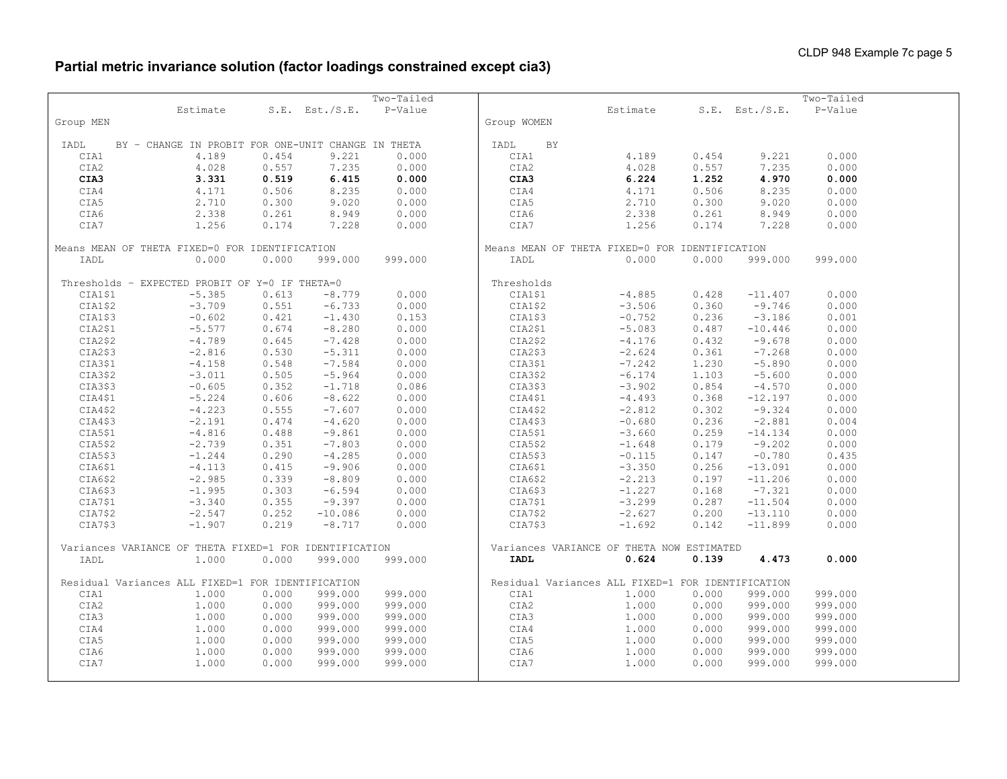# **Partial metric invariance solution (factor loadings constrained except cia3)**

|           |                                                        |       |                | Two-Tailed |                                                   |          |       |                     | Two-Tailed |  |
|-----------|--------------------------------------------------------|-------|----------------|------------|---------------------------------------------------|----------|-------|---------------------|------------|--|
|           | Estimate                                               |       | S.E. Est./S.E. | P-Value    |                                                   | Estimate |       | $S.E.$ Est./ $S.E.$ | P-Value    |  |
| Group MEN |                                                        |       |                |            | Group WOMEN                                       |          |       |                     |            |  |
|           |                                                        |       |                |            |                                                   |          |       |                     |            |  |
| IADL      | BY - CHANGE IN PROBIT FOR ONE-UNIT CHANGE IN THETA     |       |                |            | BY<br>IADL                                        |          |       |                     |            |  |
| CIA1      | 4.189                                                  | 0.454 | 9.221          | 0.000      | CIA1                                              | 4.189    | 0.454 | 9.221               | 0.000      |  |
| CIA2      | 4.028                                                  | 0.557 | 7.235          | 0.000      | CIA2                                              | 4.028    | 0.557 | 7.235               | 0.000      |  |
| CIA3      | 3.331                                                  | 0.519 | 6.415          | 0.000      | CIA3                                              | 6.224    | 1.252 | 4.970               | 0.000      |  |
| CIA4      | 4.171                                                  | 0.506 | 8.235          | 0.000      | CIA4                                              | 4.171    | 0.506 | 8.235               | 0.000      |  |
| CIA5      | 2.710                                                  | 0.300 | 9.020          | 0.000      | CIA5                                              | 2.710    | 0.300 | 9.020               | 0.000      |  |
| CIA6      | 2.338                                                  | 0.261 | 8.949          | 0.000      | CIA6                                              | 2.338    | 0.261 | 8.949               | 0.000      |  |
| CIA7      | 1,256                                                  | 0.174 | 7.228          | 0.000      | CIA7                                              | 1.256    | 0.174 | 7.228               | 0.000      |  |
|           |                                                        |       |                |            |                                                   |          |       |                     |            |  |
|           | Means MEAN OF THETA FIXED=0 FOR IDENTIFICATION         |       |                |            | Means MEAN OF THETA FIXED=0 FOR IDENTIFICATION    |          |       |                     |            |  |
| IADL      | 0.000                                                  | 0.000 | 999.000        | 999.000    | IADL                                              | 0.000    | 0.000 | 999.000             | 999.000    |  |
|           |                                                        |       |                |            |                                                   |          |       |                     |            |  |
|           | Thresholds - EXPECTED PROBIT OF Y=0 IF THETA=0         |       |                |            | Thresholds                                        |          |       |                     |            |  |
| CIA1\$1   | $-5.385$                                               | 0.613 | $-8.779$       | 0.000      | CIA1\$1                                           | $-4.885$ | 0.428 | $-11.407$           | 0.000      |  |
| CIA1\$2   | $-3.709$                                               | 0.551 | $-6.733$       | 0.000      | CIA1\$2                                           | $-3.506$ | 0.360 | $-9.746$            | 0.000      |  |
| CIA1\$3   | $-0.602$                                               | 0.421 | $-1.430$       | 0.153      | CIA1\$3                                           | $-0.752$ | 0.236 | $-3.186$            | 0.001      |  |
| CIA2\$1   | $-5.577$                                               | 0.674 | $-8.280$       | 0.000      | CIA2\$1                                           | $-5.083$ | 0.487 | $-10.446$           | 0.000      |  |
| CIA2\$2   | $-4.789$                                               | 0.645 | $-7.428$       | 0.000      | CIA2\$2                                           | $-4.176$ | 0.432 | $-9.678$            | 0.000      |  |
| CIA2\$3   | $-2.816$                                               | 0.530 | $-5.311$       | 0.000      | CIA2\$3                                           | $-2.624$ | 0.361 | $-7.268$            | 0.000      |  |
| CIA3\$1   | $-4.158$                                               | 0.548 | $-7.584$       | 0.000      | CIA3\$1                                           | $-7.242$ | 1.230 | $-5.890$            | 0.000      |  |
| CIA3\$2   | $-3.011$                                               | 0.505 | $-5.964$       | 0.000      | CIA3\$2                                           | $-6.174$ | 1.103 | $-5.600$            | 0.000      |  |
| CIA3\$3   | $-0.605$                                               | 0.352 | $-1.718$       | 0.086      | CIA3\$3                                           | $-3.902$ | 0.854 | $-4.570$            | 0.000      |  |
| CIA4\$1   | $-5.224$                                               | 0.606 | $-8.622$       | 0.000      | CIA4\$1                                           | $-4.493$ | 0.368 | $-12.197$           | 0.000      |  |
| CIA4\$2   | $-4.223$                                               | 0.555 | $-7.607$       | 0.000      | CIA4\$2                                           | $-2.812$ | 0.302 | $-9.324$            | 0.000      |  |
| CIA4\$3   | $-2.191$                                               | 0.474 | $-4.620$       | 0.000      | CIA4\$3                                           | $-0.680$ | 0.236 | $-2.881$            | 0.004      |  |
| CIA5\$1   | $-4.816$                                               | 0.488 | $-9.861$       | 0.000      | CIA5\$1                                           | $-3.660$ | 0.259 | $-14.134$           | 0.000      |  |
| CIA5\$2   | $-2.739$                                               | 0.351 | $-7.803$       | 0.000      | CIA5\$2                                           | $-1.648$ | 0.179 | $-9.202$            | 0.000      |  |
| CIA5\$3   | $-1.244$                                               | 0.290 | $-4.285$       | 0.000      | CIA5\$3                                           | $-0.115$ | 0.147 | $-0.780$            | 0.435      |  |
| CIA6\$1   | $-4.113$                                               | 0.415 | $-9.906$       | 0.000      | CIA6\$1                                           | $-3.350$ | 0.256 | $-13.091$           | 0.000      |  |
| CIA6\$2   | $-2.985$                                               | 0.339 | $-8.809$       | 0.000      | CIA6\$2                                           | $-2.213$ | 0.197 | $-11.206$           | 0.000      |  |
| CIA6\$3   | $-1.995$                                               | 0.303 | $-6.594$       | 0.000      | CIA6\$3                                           | $-1.227$ | 0.168 | $-7.321$            | 0.000      |  |
| CIA7\$1   | $-3.340$                                               | 0.355 | $-9.397$       | 0.000      | CIA7\$1                                           | $-3.299$ | 0.287 | $-11.504$           | 0.000      |  |
| CIA7\$2   | $-2.547$                                               | 0.252 | $-10.086$      | 0.000      | CIA7\$2                                           | $-2.627$ | 0.200 | $-13.110$           | 0.000      |  |
| CIA7\$3   | $-1.907$                                               | 0.219 | $-8.717$       | 0.000      | CIA7\$3                                           | $-1.692$ | 0.142 | $-11.899$           | 0.000      |  |
|           |                                                        |       |                |            |                                                   |          |       |                     |            |  |
|           | Variances VARIANCE OF THETA FIXED=1 FOR IDENTIFICATION |       |                |            | Variances VARIANCE OF THETA NOW ESTIMATED         |          |       |                     |            |  |
| IADL      | 1,000                                                  | 0.000 | 999.000        | 999.000    | <b>IADL</b>                                       | 0.624    | 0.139 | 4.473               | 0.000      |  |
|           |                                                        |       |                |            |                                                   |          |       |                     |            |  |
|           | Residual Variances ALL FIXED=1 FOR IDENTIFICATION      |       |                |            | Residual Variances ALL FIXED=1 FOR IDENTIFICATION |          |       |                     |            |  |
| CIA1      | 1.000                                                  | 0.000 | 999.000        | 999.000    | CIA1                                              | 1.000    | 0.000 | 999.000             | 999.000    |  |
| CIA2      | 1.000                                                  | 0.000 | 999.000        | 999.000    | CIA2                                              | 1,000    | 0.000 | 999.000             | 999.000    |  |
| CIA3      | 1.000                                                  | 0.000 | 999.000        | 999.000    | CIA3                                              | 1,000    | 0.000 | 999.000             | 999.000    |  |
| CIA4      | 1.000                                                  | 0.000 | 999.000        | 999.000    | CIA4                                              | 1.000    | 0.000 | 999.000             | 999.000    |  |
| CIA5      | 1.000                                                  | 0.000 | 999.000        | 999.000    | CIA5                                              | 1.000    | 0.000 | 999.000             | 999.000    |  |
| CIA6      | 1.000                                                  | 0.000 | 999.000        | 999.000    | CIA6                                              | 1.000    | 0.000 | 999.000             | 999.000    |  |
| CIA7      | 1.000                                                  | 0.000 | 999.000        | 999.000    | CIA7                                              | 1,000    | 0.000 | 999.000             | 999.000    |  |
|           |                                                        |       |                |            |                                                   |          |       |                     |            |  |
|           |                                                        |       |                |            |                                                   |          |       |                     |            |  |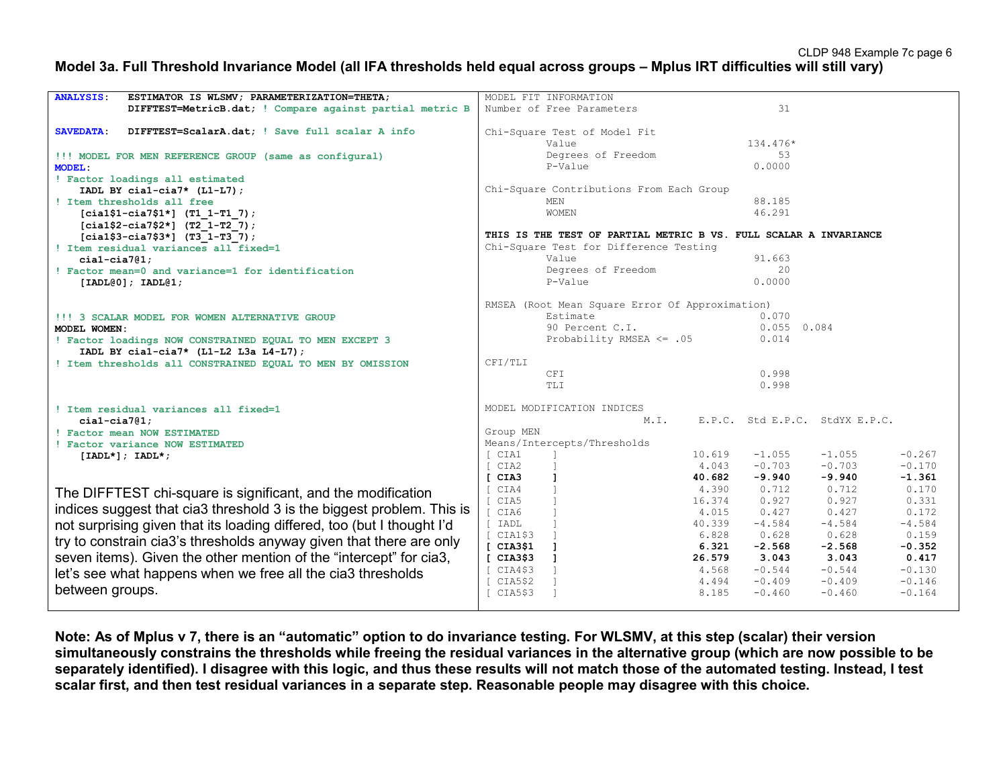### **Model 3a. Full Threshold Invariance Model (all IFA thresholds held equal across groups – Mplus IRT difficulties will still vary)**

| <b>ANALYSIS:</b><br>ESTIMATOR IS WLSMV; PARAMETERIZATION=THETA;        | MODEL FIT INFORMATION                                                  |  |
|------------------------------------------------------------------------|------------------------------------------------------------------------|--|
| DIFFTEST=MetricB.dat; ! Compare against partial metric B               | 31<br>Number of Free Parameters                                        |  |
|                                                                        |                                                                        |  |
| <b>SAVEDATA:</b><br>DIFFTEST=ScalarA.dat: ! Save full scalar A info    | Chi-Square Test of Model Fit                                           |  |
|                                                                        | 134.476*<br>Value                                                      |  |
| !!! MODEL FOR MEN REFERENCE GROUP (same as configural)                 | Degrees of Freedom<br>53                                               |  |
| <b>MODEL:</b>                                                          | P-Value<br>0.0000                                                      |  |
| ! Factor loadings all estimated                                        |                                                                        |  |
| IADL BY cial-cia7* $(L1-L7)$ ;                                         | Chi-Square Contributions From Each Group                               |  |
| ! Item thresholds all free                                             | 88.185<br>MEN                                                          |  |
| $[cia1$1-ci a7$1*]$ (T1 1-T1 7);                                       | 46.291<br>WOMEN                                                        |  |
| $[cia1$2-cia7$2*]$ (T2 1-T2 7);                                        |                                                                        |  |
| $[cia1$3-cia7$3*]$ (T3 1-T3 7);                                        | THIS IS THE TEST OF PARTIAL METRIC B VS. FULL SCALAR A INVARIANCE      |  |
| ! Item residual variances all fixed=1                                  | Chi-Square Test for Difference Testing                                 |  |
|                                                                        | Value<br>91.663                                                        |  |
| $cial-cia7@1:$                                                         | 20                                                                     |  |
| ! Factor mean=0 and variance=1 for identification                      | Degrees of Freedom                                                     |  |
| [IADL@0]; IADL@1;                                                      | P-Value<br>0.0000                                                      |  |
|                                                                        |                                                                        |  |
|                                                                        | RMSEA (Root Mean Square Error Of Approximation)                        |  |
| !!! 3 SCALAR MODEL FOR WOMEN ALTERNATIVE GROUP                         | Estimate<br>0.070                                                      |  |
| MODEL WOMEN:                                                           | 90 Percent C.I.<br>$0.055$ 0.084                                       |  |
| ! Factor loadings NOW CONSTRAINED EQUAL TO MEN EXCEPT 3                | Probability RMSEA $\leq$ .05<br>0.014                                  |  |
| IADL BY cial-cia7* $(L1-L2 L3a L4-L7)$ ;                               |                                                                        |  |
| ! Item thresholds all CONSTRAINED EQUAL TO MEN BY OMISSION             | CFI/TLI                                                                |  |
|                                                                        | <b>CFI</b><br>0.998                                                    |  |
|                                                                        | 0.998<br><b>TLI</b>                                                    |  |
|                                                                        |                                                                        |  |
| ! Item residual variances all fixed=1                                  | MODEL MODIFICATION INDICES                                             |  |
| $cial-cia7@1;$                                                         | M.I.<br>E.P.C. Std E.P.C. StdYX E.P.C.                                 |  |
| ! Factor mean NOW ESTIMATED                                            | Group MEN                                                              |  |
| ! Factor variance NOW ESTIMATED                                        | Means/Intercepts/Thresholds                                            |  |
| $[IADL*]; IADL*;$                                                      | $-1.055$<br>$-0.267$<br>CIA1<br>10.619<br>$-1.055$                     |  |
|                                                                        | 4.043<br>$-0.703$<br>$-0.703$<br>$-0.170$<br>CIA2                      |  |
|                                                                        | $-9.940$<br>$-9.940$<br>$-1.361$<br>CIA3<br>$\mathbf{I}$<br>40.682     |  |
|                                                                        | CIA4<br>$\Box$<br>4.390<br>0.712<br>0.712<br>0.170                     |  |
| The DIFFTEST chi-square is significant, and the modification           | $\overline{1}$<br>CIA5<br>16.374<br>0.927<br>0.927<br>0.331            |  |
| indices suggest that cia3 threshold 3 is the biggest problem. This is  | $\Box$<br>CIA6<br>0.427<br>0.427<br>0.172<br>4.015                     |  |
|                                                                        | $-4.584$<br>$-4.584$<br>$-4.584$<br>[ IADL<br>$\mathbf{I}$<br>40.339   |  |
| not surprising given that its loading differed, too (but I thought I'd | CIA1\$3<br>6.828<br>0.628<br>0.628<br>0.159                            |  |
| try to constrain cia3's thresholds anyway given that there are only    | $\blacksquare$<br>CIA3\$1<br>6.321<br>$-2.568$<br>$-2.568$<br>$-0.352$ |  |
| seven items). Given the other mention of the "intercept" for cia3,     | [CIA3\$3]<br>$\mathbf{I}$<br>26.579<br>3.043<br>3.043<br>0.417         |  |
|                                                                        | CIA4\$3<br>$-0.544$<br>$-0.544$<br>$-0.130$                            |  |
| let's see what happens when we free all the cia3 thresholds            | 4.568                                                                  |  |
| between groups.                                                        | $\Box$<br>$-0.409$<br>$-0.409$<br>$-0.146$<br>CIA5\$2<br>4.494         |  |
|                                                                        | $-0.164$<br>CIA5\$3<br>8.185<br>$-0.460$<br>$-0.460$                   |  |
|                                                                        |                                                                        |  |

**Note: As of Mplus v 7, there is an "automatic" option to do invariance testing. For WLSMV, at this step (scalar) their version simultaneously constrains the thresholds while freeing the residual variances in the alternative group (which are now possible to be separately identified). I disagree with this logic, and thus these results will not match those of the automated testing. Instead, I test scalar first, and then test residual variances in a separate step. Reasonable people may disagree with this choice.**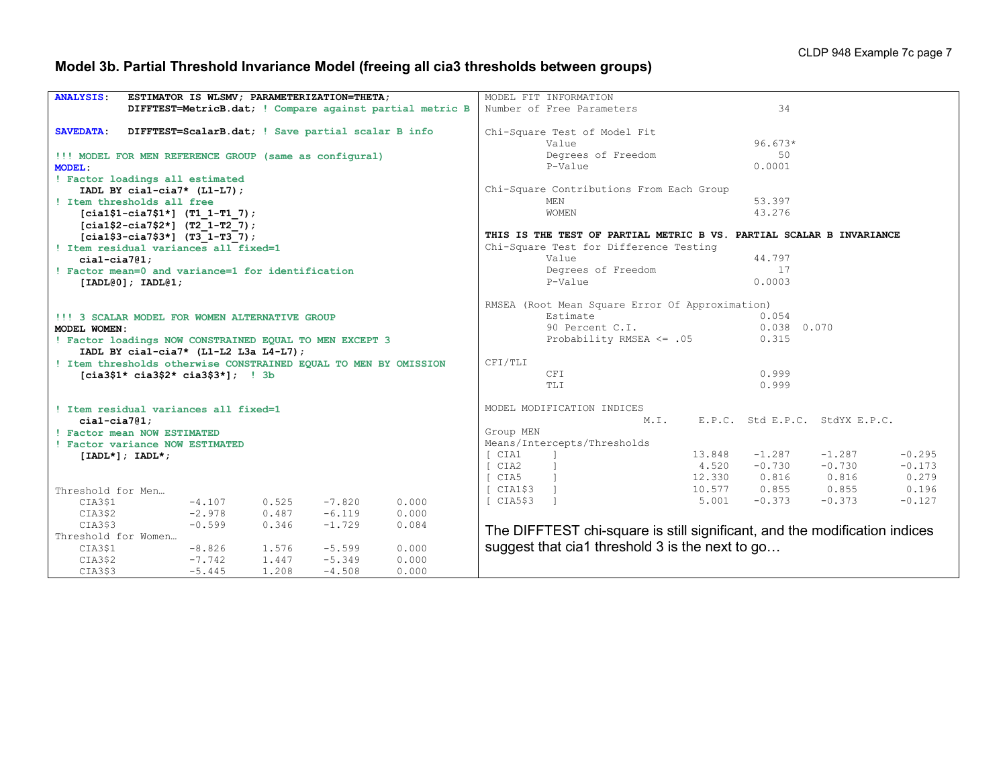# **Model 3b. Partial Threshold Invariance Model (freeing all cia3 thresholds between groups)**

| <b>ANALYSIS</b><br>ESTIMATOR IS WLSMV; PARAMETERIZATION=THETA;         | MODEL FIT INFORMATION                                                      |  |  |  |  |  |
|------------------------------------------------------------------------|----------------------------------------------------------------------------|--|--|--|--|--|
| DIFFTEST=MetricB.dat; ! Compare against partial metric B               | 34<br>Number of Free Parameters                                            |  |  |  |  |  |
|                                                                        |                                                                            |  |  |  |  |  |
| DIFFTEST=ScalarB.dat; ! Save partial scalar B info<br><b>SAVEDATA:</b> | Chi-Square Test of Model Fit                                               |  |  |  |  |  |
|                                                                        | $96.673*$<br>Value                                                         |  |  |  |  |  |
| !!! MODEL FOR MEN REFERENCE GROUP (same as configural)                 | Degrees of Freedom<br>50                                                   |  |  |  |  |  |
| <b>MODEL:</b>                                                          | P-Value<br>0.0001                                                          |  |  |  |  |  |
| ! Factor loadings all estimated                                        |                                                                            |  |  |  |  |  |
| IADL BY cial-cia7* $(L1-L7)$ ;                                         | Chi-Square Contributions From Each Group                                   |  |  |  |  |  |
| ! Item thresholds all free                                             | MF.N<br>53.397                                                             |  |  |  |  |  |
| $[cia1$1-cia7$1*]$ (T1 1-T1 7);                                        | 43.276<br>WOMEN                                                            |  |  |  |  |  |
| $[cia1$2-ci a7$2*]$ (T2 1-T2 7);                                       |                                                                            |  |  |  |  |  |
| $[cia1$3-cia7$3*]$ (T3 1-T3 7);                                        | THIS IS THE TEST OF PARTIAL METRIC B VS. PARTIAL SCALAR B INVARIANCE       |  |  |  |  |  |
| ! Item residual variances all fixed=1                                  | Chi-Square Test for Difference Testing                                     |  |  |  |  |  |
| $cial-cia7@1;$                                                         | 44.797<br>Value                                                            |  |  |  |  |  |
| ! Factor mean=0 and variance=1 for identification                      | Degrees of Freedom<br>17                                                   |  |  |  |  |  |
| [IADL@0]; IADL@1;                                                      | 0.0003<br>P-Value                                                          |  |  |  |  |  |
|                                                                        |                                                                            |  |  |  |  |  |
|                                                                        | RMSEA (Root Mean Square Error Of Approximation)                            |  |  |  |  |  |
| !!! 3 SCALAR MODEL FOR WOMEN ALTERNATIVE GROUP                         | Estimate<br>0.054                                                          |  |  |  |  |  |
| MODEL WOMEN:                                                           | 0.038 0.070<br>90 Percent C.I.                                             |  |  |  |  |  |
| ! Factor loadings NOW CONSTRAINED EQUAL TO MEN EXCEPT 3                | Probability RMSEA <= .05<br>0.315                                          |  |  |  |  |  |
| IADL BY cial-cia7* (L1-L2 L3a L4-L7);                                  |                                                                            |  |  |  |  |  |
| ! Item thresholds otherwise CONSTRAINED EQUAL TO MEN BY OMISSION       | CFI/TLI                                                                    |  |  |  |  |  |
| $[cia3$1* cia3$2* cia3$3*];$ ! 3b                                      | 0.999<br>CFI                                                               |  |  |  |  |  |
|                                                                        | 0.999<br>TLI                                                               |  |  |  |  |  |
|                                                                        |                                                                            |  |  |  |  |  |
| ! Item residual variances all fixed=1                                  | MODEL MODIFICATION INDICES                                                 |  |  |  |  |  |
| $cial-cia7@1:$                                                         | M.T.<br>E.P.C. Std E.P.C. StdYX E.P.C.                                     |  |  |  |  |  |
| ! Factor mean NOW ESTIMATED                                            | Group MEN                                                                  |  |  |  |  |  |
| ! Factor variance NOW ESTIMATED                                        | Means/Intercepts/Thresholds                                                |  |  |  |  |  |
| $[IADL*]; IADL*;$                                                      | 13.848<br>$-1.287$<br>$-1.287$<br>$-0.295$<br>[ CIA1                       |  |  |  |  |  |
|                                                                        | 4.520<br>$-0.730$<br>$-0.730$<br>$-0.173$<br>[ CIA2                        |  |  |  |  |  |
|                                                                        | 12.330<br>0.816<br>0.816<br>0.279<br>$\lceil$ CIA5 $\lceil$                |  |  |  |  |  |
| Threshold for Men                                                      | 10.577<br>0.855<br>0.196<br>[CIA1\$3]<br>0.855                             |  |  |  |  |  |
| $-4.107$<br>0.525<br>$-7.820$<br>0.000<br>CIA3\$1                      | $-0.373$<br>$-0.127$<br>ICIAS\$3<br>$\blacksquare$<br>5.001<br>$-0.373$    |  |  |  |  |  |
| $-6.119$<br>CIA3\$2<br>$-2.978$<br>0.487<br>0.000                      |                                                                            |  |  |  |  |  |
| CIA3\$3<br>$-0.599$<br>0.346<br>$-1.729$<br>0.084                      | The DIFFTEST chi-square is still significant, and the modification indices |  |  |  |  |  |
| Threshold for Women                                                    |                                                                            |  |  |  |  |  |
| $-8.826$<br>1,576<br>$-5.599$<br>0.000<br>CIA3\$1                      | suggest that cia1 threshold 3 is the next to go                            |  |  |  |  |  |
| $-7.742$<br>1.447<br>$-5.349$<br>0.000<br>CIA3\$2                      |                                                                            |  |  |  |  |  |
| $-5.445$<br>1,208<br>$-4.508$<br>0.000<br>CIA3\$3                      |                                                                            |  |  |  |  |  |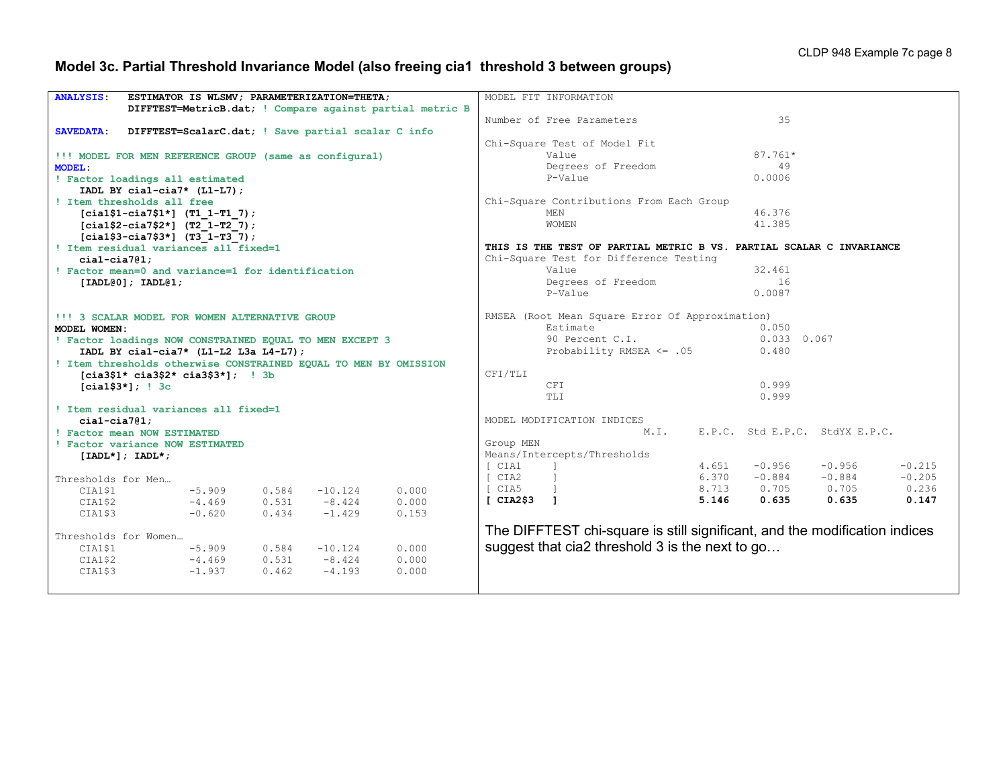# **Model 3c. Partial Threshold Invariance Model (also freeing cia1 threshold 3 between groups)**

| <b>ANALYSIS:</b>                               | ESTIMATOR IS WLSMV; PARAMETERIZATION=THETA;                      |  |                |                      |                                                          |                                                              | MODEL FIT INFORMATION                                                      |                |                      |                      |                      |  |  |  |
|------------------------------------------------|------------------------------------------------------------------|--|----------------|----------------------|----------------------------------------------------------|--------------------------------------------------------------|----------------------------------------------------------------------------|----------------|----------------------|----------------------|----------------------|--|--|--|
|                                                |                                                                  |  |                |                      | DIFFTEST=MetricB.dat; ! Compare against partial metric B |                                                              |                                                                            |                |                      |                      |                      |  |  |  |
|                                                |                                                                  |  |                |                      |                                                          |                                                              | Number of Free Parameters                                                  |                | 35                   |                      |                      |  |  |  |
| <b>SAVEDATA:</b>                               | DIFFTEST=ScalarC.dat; ! Save partial scalar C info               |  |                |                      |                                                          |                                                              |                                                                            |                |                      |                      |                      |  |  |  |
|                                                |                                                                  |  |                |                      |                                                          |                                                              | Chi-Square Test of Model Fit                                               |                |                      |                      |                      |  |  |  |
|                                                | !!! MODEL FOR MEN REFERENCE GROUP (same as configural)           |  |                |                      |                                                          | $87.761*$<br>Value                                           |                                                                            |                |                      |                      |                      |  |  |  |
| <b>MODEL:</b>                                  |                                                                  |  |                |                      |                                                          |                                                              | Degrees of Freedom                                                         |                | 49                   |                      |                      |  |  |  |
| ! Factor loadings all estimated                |                                                                  |  |                |                      |                                                          |                                                              | P-Value                                                                    |                | 0.0006               |                      |                      |  |  |  |
|                                                | IADL BY cial-cia7* $(L1-L7)$ ;                                   |  |                |                      |                                                          |                                                              |                                                                            |                |                      |                      |                      |  |  |  |
|                                                | ! Item thresholds all free                                       |  |                |                      |                                                          |                                                              | Chi-Square Contributions From Each Group                                   |                |                      |                      |                      |  |  |  |
|                                                | $[cia1$1-ci27$1*]$ (T1 1-T1 7);                                  |  |                |                      |                                                          |                                                              | MF.N                                                                       |                | 46.376               |                      |                      |  |  |  |
|                                                | $[cia1$2-cia7$2*]$ (T2 1-T2 7);                                  |  |                |                      |                                                          |                                                              | <b>WOMEN</b>                                                               |                | 41.385               |                      |                      |  |  |  |
|                                                | $[cia1$3-cia7$3*]$ (T3 1-T3 7);                                  |  |                |                      |                                                          |                                                              |                                                                            |                |                      |                      |                      |  |  |  |
| ! Item residual variances all fixed=1          |                                                                  |  |                |                      |                                                          |                                                              | THIS IS THE TEST OF PARTIAL METRIC B VS. PARTIAL SCALAR C INVARIANCE       |                |                      |                      |                      |  |  |  |
| $cial-cia7@1:$                                 |                                                                  |  |                |                      |                                                          |                                                              | Chi-Square Test for Difference Testing                                     |                |                      |                      |                      |  |  |  |
|                                                | ! Factor mean=0 and variance=1 for identification                |  |                |                      |                                                          |                                                              | Value                                                                      |                | 32.461               |                      |                      |  |  |  |
|                                                | [IADL@0]; IADL@1;                                                |  |                |                      |                                                          |                                                              | Degrees of Freedom                                                         |                | 16                   |                      |                      |  |  |  |
|                                                |                                                                  |  |                |                      |                                                          |                                                              | P-Value                                                                    |                | 0.0087               |                      |                      |  |  |  |
|                                                |                                                                  |  |                |                      |                                                          |                                                              |                                                                            |                |                      |                      |                      |  |  |  |
| !!! 3 SCALAR MODEL FOR WOMEN ALTERNATIVE GROUP |                                                                  |  |                |                      |                                                          |                                                              | RMSEA (Root Mean Square Error Of Approximation)                            |                |                      |                      |                      |  |  |  |
| MODEL WOMEN:                                   |                                                                  |  |                |                      |                                                          |                                                              | Estimate                                                                   |                | 0.050                |                      |                      |  |  |  |
|                                                | ! Factor loadings NOW CONSTRAINED EQUAL TO MEN EXCEPT 3          |  |                |                      |                                                          |                                                              | 90 Percent C.I.                                                            |                | $0.033$ 0.067        |                      |                      |  |  |  |
|                                                | IADL BY cial-cia7* $(L1-L2 L3a L4-L7)$ ;                         |  |                |                      |                                                          |                                                              | Probability RMSEA $\leq$ .05                                               |                | 0.480                |                      |                      |  |  |  |
|                                                | ! Item thresholds otherwise CONSTRAINED EQUAL TO MEN BY OMISSION |  |                |                      |                                                          |                                                              |                                                                            |                |                      |                      |                      |  |  |  |
|                                                | $[cia3$1* cia3$2* cia3$3*];$ ! 3b                                |  |                |                      |                                                          | CFI/TLI                                                      |                                                                            |                |                      |                      |                      |  |  |  |
|                                                | $[cia1$3*];$ $ 3c$                                               |  |                |                      |                                                          |                                                              | <b>CFT</b>                                                                 |                | 0.999                |                      |                      |  |  |  |
|                                                |                                                                  |  |                |                      |                                                          |                                                              | TLI                                                                        |                | 0.999                |                      |                      |  |  |  |
|                                                | ! Item residual variances all fixed=1                            |  |                |                      |                                                          |                                                              |                                                                            |                |                      |                      |                      |  |  |  |
| $cial-cia7@1:$                                 |                                                                  |  |                |                      |                                                          | MODEL MODIFICATION INDICES<br>E.P.C. Std E.P.C. StdYX E.P.C. |                                                                            |                |                      |                      |                      |  |  |  |
|                                                | ! Factor mean NOW ESTIMATED                                      |  |                |                      |                                                          |                                                              | M.T.                                                                       |                |                      |                      |                      |  |  |  |
|                                                | ! Factor variance NOW ESTIMATED                                  |  |                |                      |                                                          | Group MEN                                                    |                                                                            |                |                      |                      |                      |  |  |  |
|                                                | $[IADL*]; IADL*;$                                                |  |                |                      |                                                          |                                                              | Means/Intercepts/Thresholds                                                |                |                      |                      |                      |  |  |  |
|                                                |                                                                  |  |                |                      |                                                          | [ CIA1<br>I CIA2                                             |                                                                            | 4.651<br>6.370 | $-0.956$<br>$-0.884$ | $-0.956$<br>$-0.884$ | $-0.215$<br>$-0.205$ |  |  |  |
| Thresholds for Men                             |                                                                  |  |                |                      |                                                          | I CIA5                                                       |                                                                            | 8.713          | 0.705                | 0.705                | 0.236                |  |  |  |
| CIA1\$1                                        | $-5.909$                                                         |  | 0.584          | $-10.124$            | 0.000                                                    | [CIA2\$3]                                                    |                                                                            | 5.146          | 0.635                | 0.635                | 0.147                |  |  |  |
| CIA1\$2                                        | $-4.469$                                                         |  | 0.531<br>0.434 | $-8.424$<br>$-1.429$ | 0.000                                                    |                                                              |                                                                            |                |                      |                      |                      |  |  |  |
| CIA1\$3                                        | $-0.620$                                                         |  |                |                      | 0.153                                                    |                                                              |                                                                            |                |                      |                      |                      |  |  |  |
| Thresholds for Women                           |                                                                  |  |                |                      |                                                          |                                                              | The DIFFTEST chi-square is still significant, and the modification indices |                |                      |                      |                      |  |  |  |
| CIA1\$1                                        | $-5.909$                                                         |  | 0.584          | $-10.124$            | 0.000                                                    |                                                              | suggest that cia2 threshold 3 is the next to go                            |                |                      |                      |                      |  |  |  |
| CIA1\$2                                        | $-4.469$                                                         |  | 0.531          | $-8.424$             | 0.000                                                    |                                                              |                                                                            |                |                      |                      |                      |  |  |  |
| CIA1\$3                                        | $-1.937$                                                         |  | 0.462          | $-4.193$             | 0.000                                                    |                                                              |                                                                            |                |                      |                      |                      |  |  |  |
|                                                |                                                                  |  |                |                      |                                                          |                                                              |                                                                            |                |                      |                      |                      |  |  |  |
|                                                |                                                                  |  |                |                      |                                                          |                                                              |                                                                            |                |                      |                      |                      |  |  |  |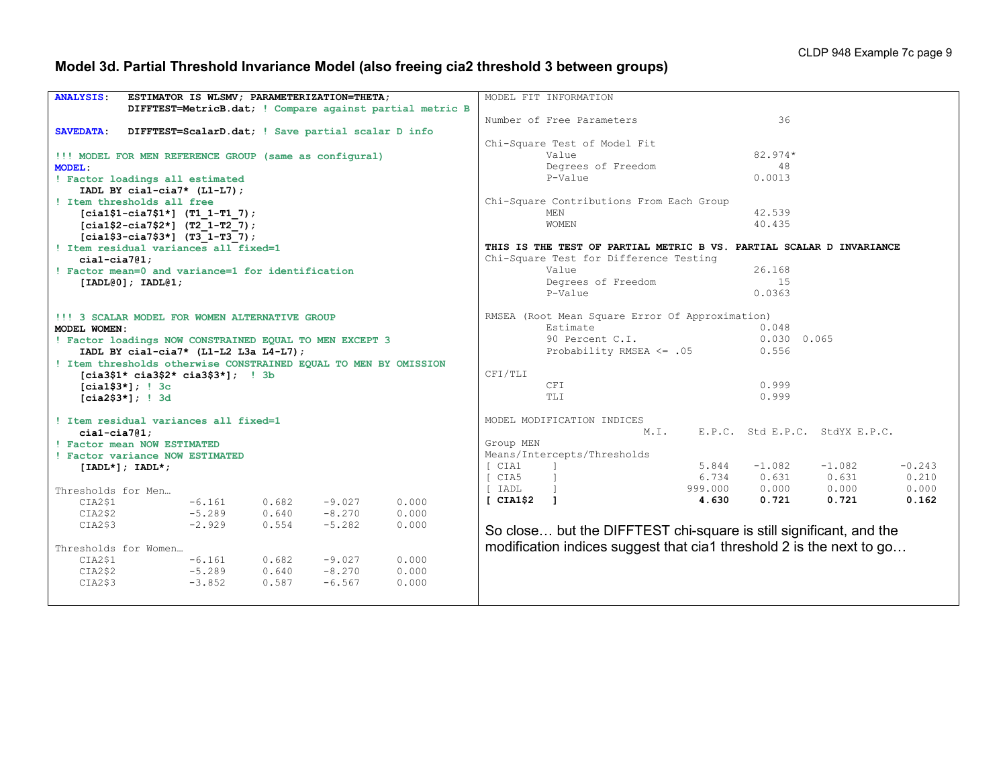# **Model 3d. Partial Threshold Invariance Model (also freeing cia2 threshold 3 between groups)**

| <b>ANALYSIS:</b>                                        |                                                   |          |       | ESTIMATOR IS WLSMV; PARAMETERIZATION=THETA;            |                                                                  |                          | MODEL FIT INFORMATION                                                |               |           |                                |          |
|---------------------------------------------------------|---------------------------------------------------|----------|-------|--------------------------------------------------------|------------------------------------------------------------------|--------------------------|----------------------------------------------------------------------|---------------|-----------|--------------------------------|----------|
|                                                         |                                                   |          |       |                                                        | DIFFTEST=MetricB.dat; ! Compare against partial metric B         |                          |                                                                      |               |           |                                |          |
|                                                         |                                                   |          |       |                                                        |                                                                  |                          |                                                                      |               |           |                                |          |
|                                                         |                                                   |          |       |                                                        |                                                                  |                          | Number of Free Parameters                                            |               | 36        |                                |          |
| <b>SAVEDATA:</b>                                        |                                                   |          |       | DIFFTEST=ScalarD.dat; ! Save partial scalar D info     |                                                                  |                          |                                                                      |               |           |                                |          |
|                                                         |                                                   |          |       |                                                        |                                                                  |                          | Chi-Square Test of Model Fit                                         |               |           |                                |          |
|                                                         |                                                   |          |       | !!! MODEL FOR MEN REFERENCE GROUP (same as configural) |                                                                  |                          | Value                                                                |               | $82.974*$ |                                |          |
| <b>MODEL:</b>                                           |                                                   |          |       |                                                        |                                                                  | 48<br>Degrees of Freedom |                                                                      |               |           |                                |          |
|                                                         | ! Factor loadings all estimated                   |          |       |                                                        |                                                                  |                          | P-Value                                                              |               | 0.0013    |                                |          |
|                                                         | IADL BY cial-cia7* $(L1-L7)$ ;                    |          |       |                                                        |                                                                  |                          |                                                                      |               |           |                                |          |
| ! Item thresholds all free                              |                                                   |          |       |                                                        |                                                                  |                          | Chi-Square Contributions From Each Group                             |               |           |                                |          |
|                                                         | $[cia1$1-ci27$1*]$ (T1 1-T1 7);                   |          |       |                                                        |                                                                  |                          | <b>MEN</b>                                                           |               | 42.539    |                                |          |
|                                                         | $[cia1$2-cia7$2*]$ (T2 1-T2 7);                   |          |       |                                                        |                                                                  |                          | WOMEN                                                                |               | 40.435    |                                |          |
|                                                         | $[cia1$3-cia7$3*]$ (T3 1-T3 7);                   |          |       |                                                        |                                                                  |                          |                                                                      |               |           |                                |          |
| ! Item residual variances all fixed=1                   |                                                   |          |       |                                                        |                                                                  |                          | THIS IS THE TEST OF PARTIAL METRIC B VS. PARTIAL SCALAR D INVARIANCE |               |           |                                |          |
| $cial-cia7@1:$                                          |                                                   |          |       |                                                        |                                                                  |                          | Chi-Square Test for Difference Testing                               |               |           |                                |          |
|                                                         | ! Factor mean=0 and variance=1 for identification |          |       |                                                        |                                                                  |                          | Value                                                                |               | 26.168    |                                |          |
| [IADL@0]; IADL@1;                                       |                                                   |          |       |                                                        |                                                                  |                          | Degrees of Freedom                                                   |               | 1.5       |                                |          |
|                                                         |                                                   |          |       |                                                        |                                                                  |                          | P-Value                                                              |               | 0.0363    |                                |          |
|                                                         |                                                   |          |       |                                                        |                                                                  |                          |                                                                      |               |           |                                |          |
| !!! 3 SCALAR MODEL FOR WOMEN ALTERNATIVE GROUP          |                                                   |          |       |                                                        |                                                                  |                          | RMSEA (Root Mean Square Error Of Approximation)                      |               |           |                                |          |
| MODEL WOMEN:                                            |                                                   |          |       |                                                        |                                                                  |                          | Estimate                                                             |               | 0.048     |                                |          |
| ! Factor loadings NOW CONSTRAINED EQUAL TO MEN EXCEPT 3 |                                                   |          |       |                                                        |                                                                  | 90 Percent C.I.          |                                                                      | $0.030$ 0.065 |           |                                |          |
| IADL BY cial-cia7* $(L1-L2 L3a L4-L7)$ ;                |                                                   |          |       |                                                        | Probability RMSEA $\leq$ .05                                     |                          | 0.556                                                                |               |           |                                |          |
|                                                         |                                                   |          |       |                                                        | ! Item thresholds otherwise CONSTRAINED EQUAL TO MEN BY OMISSION |                          |                                                                      |               |           |                                |          |
|                                                         | $[cia3$1* cia3$2* cia3$3*];$ ! 3b                 |          |       |                                                        |                                                                  | CFI/TLI                  |                                                                      |               |           |                                |          |
|                                                         | $[cia1$3*]$ ; ! 3c                                |          |       |                                                        |                                                                  |                          | CFI                                                                  |               | 0.999     |                                |          |
|                                                         | $[cia2$3*];$ ! 3d                                 |          |       |                                                        |                                                                  |                          | TLI                                                                  |               | 0.999     |                                |          |
|                                                         |                                                   |          |       |                                                        |                                                                  |                          |                                                                      |               |           |                                |          |
|                                                         | ! Item residual variances all fixed=1             |          |       |                                                        |                                                                  |                          | MODEL MODIFICATION INDICES                                           |               |           |                                |          |
| $cial-cia7@1;$                                          |                                                   |          |       |                                                        |                                                                  |                          | M.I.                                                                 |               |           | E.P.C. Std E.P.C. StdYX E.P.C. |          |
|                                                         | ! Factor mean NOW ESTIMATED                       |          |       |                                                        |                                                                  | Group MEN                |                                                                      |               |           |                                |          |
|                                                         | ! Factor variance NOW ESTIMATED                   |          |       |                                                        |                                                                  |                          | Means/Intercepts/Thresholds                                          |               |           |                                |          |
|                                                         |                                                   |          |       |                                                        |                                                                  | [ CIA1                   |                                                                      | 5.844         | $-1.082$  | $-1.082$                       | $-0.243$ |
|                                                         | $[IADL*]; IADL*;$                                 |          |       |                                                        |                                                                  | I CIA5                   |                                                                      | 6.734         | 0.631     | 0.631                          | 0.210    |
|                                                         |                                                   |          |       |                                                        |                                                                  | I IADL                   |                                                                      | 999.000       | 0.000     | 0.000                          | 0.000    |
| Thresholds for Men                                      |                                                   |          |       |                                                        |                                                                  |                          |                                                                      | 4.630         | 0.721     | 0.721                          | 0.162    |
| CIA2\$1                                                 |                                                   | $-6.161$ | 0.682 | $-9.027$                                               | 0.000                                                            | [CIA1\$2]                |                                                                      |               |           |                                |          |
| CIA2\$2                                                 |                                                   | $-5.289$ | 0.640 | $-8.270$                                               | 0.000                                                            |                          |                                                                      |               |           |                                |          |
| CIA2\$3                                                 |                                                   | $-2.929$ | 0.554 | $-5.282$                                               | 0.000                                                            |                          | So close but the DIFFTEST chi-square is still significant, and the   |               |           |                                |          |
|                                                         |                                                   |          |       |                                                        |                                                                  |                          |                                                                      |               |           |                                |          |
|                                                         | Thresholds for Women                              |          |       |                                                        |                                                                  |                          | modification indices suggest that cia1 threshold 2 is the next to go |               |           |                                |          |
| CIA2\$1                                                 |                                                   | $-6.161$ | 0.682 | $-9.027$                                               | 0.000                                                            |                          |                                                                      |               |           |                                |          |
| CIA2\$2                                                 |                                                   | $-5.289$ | 0.640 | $-8.270$                                               | 0.000                                                            |                          |                                                                      |               |           |                                |          |
| CIA2\$3                                                 |                                                   | $-3.852$ | 0.587 | $-6.567$                                               | 0.000                                                            |                          |                                                                      |               |           |                                |          |
|                                                         |                                                   |          |       |                                                        |                                                                  |                          |                                                                      |               |           |                                |          |
|                                                         |                                                   |          |       |                                                        |                                                                  |                          |                                                                      |               |           |                                |          |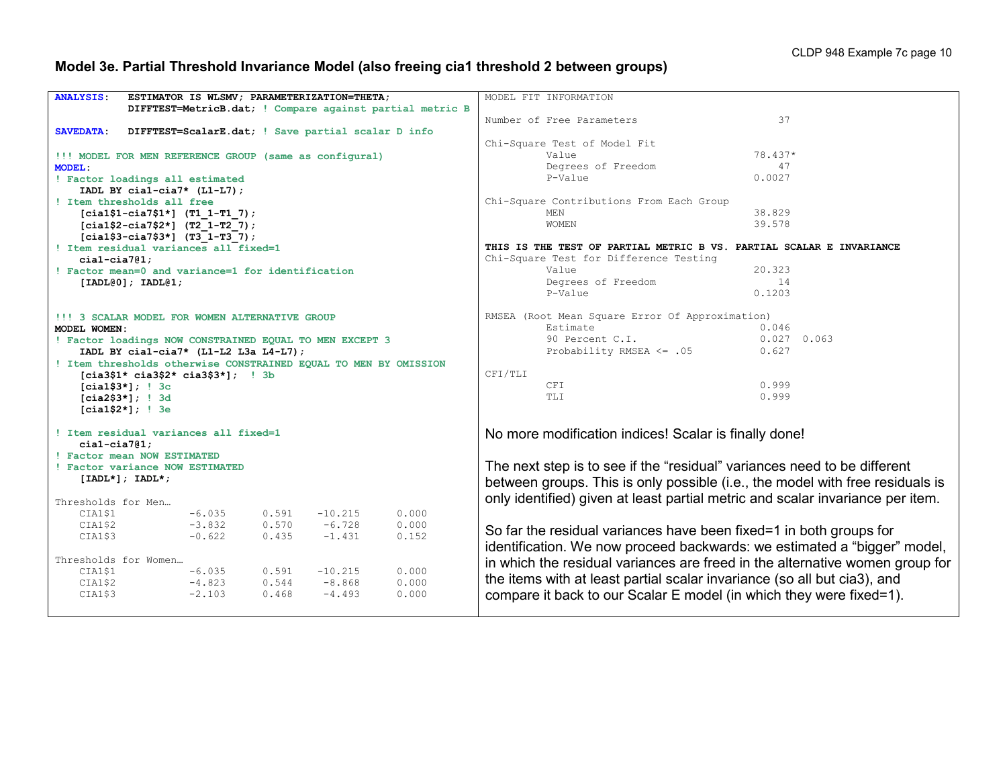# **Model 3e. Partial Threshold Invariance Model (also freeing cia1 threshold 2 between groups)**

| <b>ANALYSIS:</b>                                        |                                          |          |       | ESTIMATOR IS WLSMV; PARAMETERIZATION=THETA;                      |                                                          | MODEL FIT INFORMATION                                 |                                                                                |  |  |  |  |  |
|---------------------------------------------------------|------------------------------------------|----------|-------|------------------------------------------------------------------|----------------------------------------------------------|-------------------------------------------------------|--------------------------------------------------------------------------------|--|--|--|--|--|
|                                                         |                                          |          |       |                                                                  |                                                          |                                                       |                                                                                |  |  |  |  |  |
|                                                         |                                          |          |       |                                                                  | DIFFTEST=MetricB.dat; ! Compare against partial metric B |                                                       |                                                                                |  |  |  |  |  |
|                                                         |                                          |          |       |                                                                  |                                                          | Number of Free Parameters                             | 37                                                                             |  |  |  |  |  |
| <b>SAVEDATA:</b>                                        |                                          |          |       | DIFFTEST=ScalarE.dat; ! Save partial scalar D info               |                                                          |                                                       |                                                                                |  |  |  |  |  |
|                                                         |                                          |          |       |                                                                  |                                                          | Chi-Square Test of Model Fit                          |                                                                                |  |  |  |  |  |
|                                                         |                                          |          |       | !!! MODEL FOR MEN REFERENCE GROUP (same as configural)           |                                                          | Value                                                 | 78.437*                                                                        |  |  |  |  |  |
| <b>MODEL:</b>                                           |                                          |          |       |                                                                  |                                                          | Degrees of Freedom                                    | 47                                                                             |  |  |  |  |  |
| ! Factor loadings all estimated                         |                                          |          |       |                                                                  |                                                          | P-Value                                               | 0.0027                                                                         |  |  |  |  |  |
|                                                         | IADL BY $cial-cia7*$ (L1-L7);            |          |       |                                                                  |                                                          |                                                       |                                                                                |  |  |  |  |  |
| ! Item thresholds all free                              |                                          |          |       |                                                                  |                                                          | Chi-Square Contributions From Each Group              |                                                                                |  |  |  |  |  |
|                                                         | $[cia1$1-ci27$1*]$ (T1 1-T1 7);          |          |       |                                                                  |                                                          | MEN                                                   | 38.829                                                                         |  |  |  |  |  |
|                                                         | $[cia1$2-cia7$2*]$ (T2 1-T2 7);          |          |       |                                                                  |                                                          | <b>WOMEN</b>                                          | 39.578                                                                         |  |  |  |  |  |
|                                                         | $[cia1$3-cia7$3*]$ (T3 1-T3 7);          |          |       |                                                                  |                                                          |                                                       |                                                                                |  |  |  |  |  |
| ! Item residual variances all fixed=1                   |                                          |          |       |                                                                  |                                                          |                                                       | THIS IS THE TEST OF PARTIAL METRIC B VS. PARTIAL SCALAR E INVARIANCE           |  |  |  |  |  |
| $cial-cia7@1;$                                          |                                          |          |       |                                                                  |                                                          | Chi-Square Test for Difference Testing                |                                                                                |  |  |  |  |  |
| ! Factor mean=0 and variance=1 for identification       |                                          |          |       |                                                                  |                                                          | Value                                                 | 20.323                                                                         |  |  |  |  |  |
|                                                         |                                          |          |       |                                                                  |                                                          | Degrees of Freedom                                    | 14                                                                             |  |  |  |  |  |
|                                                         | [IADL@0]; IADL@1;                        |          |       |                                                                  |                                                          | P-Value                                               |                                                                                |  |  |  |  |  |
|                                                         |                                          |          |       |                                                                  |                                                          |                                                       | 0.1203                                                                         |  |  |  |  |  |
|                                                         |                                          |          |       |                                                                  |                                                          |                                                       |                                                                                |  |  |  |  |  |
| !!! 3 SCALAR MODEL FOR WOMEN ALTERNATIVE GROUP          |                                          |          |       |                                                                  |                                                          |                                                       | RMSEA (Root Mean Square Error Of Approximation)                                |  |  |  |  |  |
| MODEL WOMEN:                                            |                                          |          |       |                                                                  |                                                          | Estimate                                              | 0.046                                                                          |  |  |  |  |  |
| ! Factor loadings NOW CONSTRAINED EQUAL TO MEN EXCEPT 3 |                                          |          |       |                                                                  |                                                          | 90 Percent C.I.                                       | $0.027$ 0.063                                                                  |  |  |  |  |  |
|                                                         | IADL BY cial-cia7* $(L1-L2 L3a L4-L7)$ ; |          |       |                                                                  |                                                          |                                                       | Probability RMSEA $\leq$ .05<br>0.627                                          |  |  |  |  |  |
|                                                         |                                          |          |       | ! Item thresholds otherwise CONSTRAINED EQUAL TO MEN BY OMISSION |                                                          |                                                       |                                                                                |  |  |  |  |  |
|                                                         | $[cia3$1* cia3$2* cia3$3*];$ ! 3b        |          |       |                                                                  |                                                          | CFI/TLI                                               |                                                                                |  |  |  |  |  |
|                                                         | $[cia1$3*];$ ! $3c$                      |          |       |                                                                  |                                                          | CFI                                                   | 0.999                                                                          |  |  |  |  |  |
|                                                         | $[cia2$3*];$ ! 3d                        |          |       |                                                                  |                                                          | TLI                                                   | 0.999                                                                          |  |  |  |  |  |
|                                                         | $[cia1$2*];$ ! 3e                        |          |       |                                                                  |                                                          |                                                       |                                                                                |  |  |  |  |  |
|                                                         |                                          |          |       |                                                                  |                                                          |                                                       |                                                                                |  |  |  |  |  |
| ! Item residual variances all fixed=1                   |                                          |          |       |                                                                  |                                                          | No more modification indices! Scalar is finally done! |                                                                                |  |  |  |  |  |
| $cial-cia7@1;$                                          |                                          |          |       |                                                                  |                                                          |                                                       |                                                                                |  |  |  |  |  |
| ! Factor mean NOW ESTIMATED                             |                                          |          |       |                                                                  |                                                          |                                                       |                                                                                |  |  |  |  |  |
| ! Factor variance NOW ESTIMATED                         |                                          |          |       |                                                                  |                                                          |                                                       | The next step is to see if the "residual" variances need to be different       |  |  |  |  |  |
|                                                         | $[IADL*]; IADL*;$                        |          |       |                                                                  |                                                          |                                                       |                                                                                |  |  |  |  |  |
|                                                         |                                          |          |       |                                                                  |                                                          |                                                       | between groups. This is only possible (i.e., the model with free residuals is  |  |  |  |  |  |
|                                                         |                                          |          |       |                                                                  |                                                          |                                                       | only identified) given at least partial metric and scalar invariance per item. |  |  |  |  |  |
| Thresholds for Men                                      |                                          |          |       |                                                                  |                                                          |                                                       |                                                                                |  |  |  |  |  |
| CIA1\$1                                                 |                                          | $-6.035$ | 0.591 | $-10.215$                                                        | 0.000                                                    |                                                       |                                                                                |  |  |  |  |  |
| CIA1\$2                                                 |                                          | $-3.832$ | 0.570 | $-6.728$                                                         | 0.000                                                    |                                                       | So far the residual variances have been fixed=1 in both groups for             |  |  |  |  |  |
| CIA1\$3                                                 |                                          | $-0.622$ | 0.435 | $-1.431$                                                         | 0.152                                                    |                                                       |                                                                                |  |  |  |  |  |
|                                                         |                                          |          |       |                                                                  |                                                          |                                                       | identification. We now proceed backwards: we estimated a "bigger" model,       |  |  |  |  |  |
| Thresholds for Women                                    |                                          |          |       |                                                                  |                                                          |                                                       | in which the residual variances are freed in the alternative women group for   |  |  |  |  |  |
| CIA1\$1                                                 |                                          | $-6.035$ | 0.591 | $-10.215$                                                        | 0.000                                                    |                                                       |                                                                                |  |  |  |  |  |
| CIA1\$2                                                 |                                          | $-4.823$ | 0.544 | $-8.868$                                                         | 0.000                                                    |                                                       | the items with at least partial scalar invariance (so all but cia3), and       |  |  |  |  |  |
| CIA1\$3                                                 |                                          | $-2.103$ | 0.468 | $-4.493$                                                         | 0.000                                                    |                                                       | compare it back to our Scalar E model (in which they were fixed=1).            |  |  |  |  |  |
|                                                         |                                          |          |       |                                                                  |                                                          |                                                       |                                                                                |  |  |  |  |  |
|                                                         |                                          |          |       |                                                                  |                                                          |                                                       |                                                                                |  |  |  |  |  |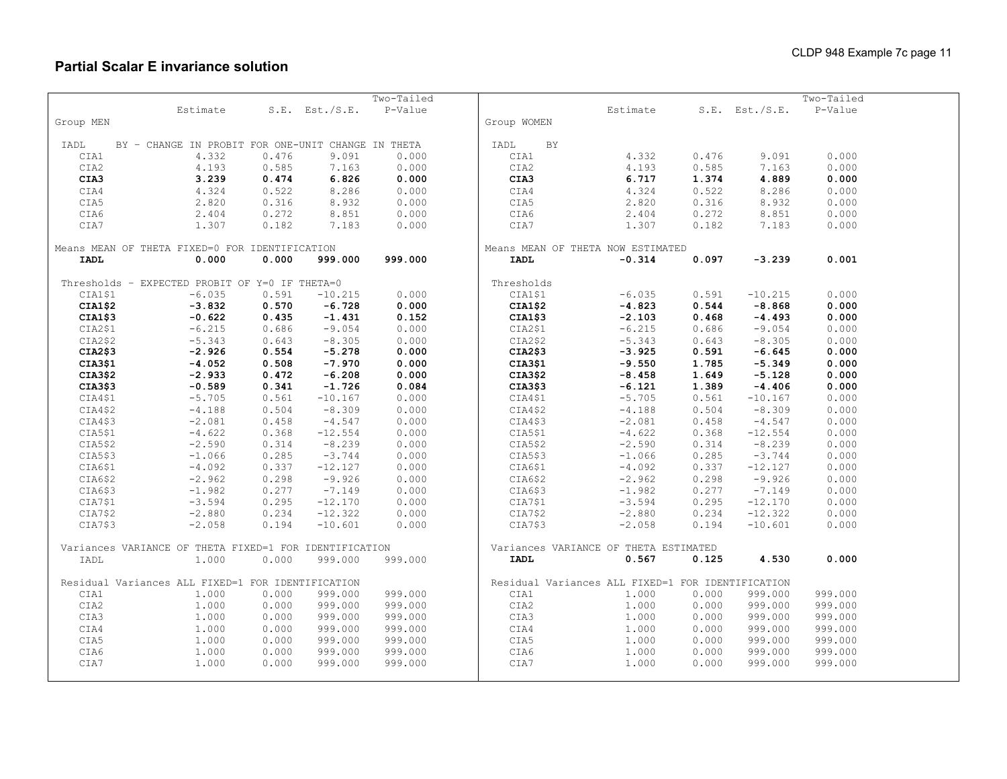|             |                                                        |       |                | Two-Tailed |                                                   |          |       |                     | Two-Tailed |  |
|-------------|--------------------------------------------------------|-------|----------------|------------|---------------------------------------------------|----------|-------|---------------------|------------|--|
|             | Estimate                                               |       | S.E. Est./S.E. | P-Value    |                                                   | Estimate |       | $S.E.$ Est./ $S.E.$ | P-Value    |  |
| Group MEN   |                                                        |       |                |            | Group WOMEN                                       |          |       |                     |            |  |
|             |                                                        |       |                |            |                                                   |          |       |                     |            |  |
| IADL        | BY - CHANGE IN PROBIT FOR ONE-UNIT CHANGE IN THETA     |       |                |            | IADL<br><b>BY</b>                                 |          |       |                     |            |  |
| CIA1        | 4.332                                                  | 0.476 | 9.091          | 0.000      | CIA1                                              | 4.332    | 0.476 | 9.091               | 0.000      |  |
| CIA2        | 4.193                                                  | 0.585 | 7.163          | 0.000      | CIA2                                              | 4.193    | 0.585 | 7.163               | 0.000      |  |
| CIA3        | 3.239                                                  | 0.474 | 6.826          | 0.000      | CIA3                                              | 6.717    | 1.374 | 4.889               | 0.000      |  |
| CIA4        | 4.324                                                  | 0.522 | 8.286          | 0.000      | CIA4                                              | 4.324    | 0.522 | 8.286               | 0.000      |  |
| CIA5        | 2.820                                                  | 0.316 | 8.932          | 0.000      | CIA5                                              | 2.820    | 0.316 | 8.932               | 0.000      |  |
| CIA6        | 2.404                                                  | 0.272 | 8.851          | 0.000      | CIA6                                              | 2.404    | 0.272 | 8.851               | 0.000      |  |
| CIA7        | 1.307                                                  | 0.182 | 7.183          | 0.000      | CIA7                                              | 1.307    | 0.182 | 7.183               | 0.000      |  |
|             |                                                        |       |                |            |                                                   |          |       |                     |            |  |
|             | Means MEAN OF THETA FIXED=0 FOR IDENTIFICATION         |       |                |            | Means MEAN OF THETA NOW ESTIMATED                 |          |       |                     |            |  |
| <b>IADL</b> | 0.000                                                  | 0.000 | 999.000        | 999.000    | <b>IADL</b>                                       | $-0.314$ | 0.097 | $-3.239$            | 0.001      |  |
|             |                                                        |       |                |            |                                                   |          |       |                     |            |  |
|             | Thresholds - EXPECTED PROBIT OF Y=0 IF THETA=0         |       |                |            | Thresholds                                        |          |       |                     |            |  |
| CIA1\$1     | $-6.035$                                               | 0.591 | $-10.215$      | 0.000      | CIA1\$1                                           | $-6.035$ | 0.591 | $-10.215$           | 0.000      |  |
| CIA1\$2     | $-3.832$                                               | 0.570 | $-6.728$       | 0.000      | CIA1\$2                                           | $-4.823$ | 0.544 | $-8.868$            | 0.000      |  |
| CIA1\$3     | $-0.622$                                               | 0.435 | $-1.431$       | 0.152      | CIA1\$3                                           | $-2.103$ | 0.468 | $-4.493$            | 0.000      |  |
| CIA2\$1     | $-6.215$                                               | 0.686 | $-9.054$       | 0.000      | CIA2\$1                                           | $-6.215$ | 0.686 | $-9.054$            | 0.000      |  |
| CIA2\$2     | $-5.343$                                               | 0.643 | $-8.305$       | 0.000      | CIA2\$2                                           | $-5.343$ | 0.643 | $-8.305$            | 0.000      |  |
| CIA2\$3     | $-2.926$                                               | 0.554 | $-5.278$       | 0.000      | CIA2\$3                                           | $-3.925$ | 0.591 | $-6.645$            | 0.000      |  |
| CIA3\$1     | $-4.052$                                               | 0.508 | $-7.970$       | 0.000      | CIA3\$1                                           | $-9.550$ | 1.785 | $-5.349$            | 0.000      |  |
| CIA3\$2     | $-2.933$                                               | 0.472 | $-6.208$       | 0.000      | CIA3\$2                                           | $-8.458$ | 1.649 | $-5.128$            | 0.000      |  |
| CIA3\$3     | $-0.589$                                               | 0.341 | $-1.726$       | 0.084      | CIA3\$3                                           | $-6.121$ | 1.389 | $-4.406$            | 0.000      |  |
| CIA4\$1     | $-5.705$                                               | 0.561 | $-10.167$      | 0.000      | CIA4\$1                                           | $-5.705$ | 0.561 | $-10.167$           | 0.000      |  |
| CIA4\$2     | $-4.188$                                               | 0.504 | $-8.309$       | 0.000      | CIA4\$2                                           | $-4.188$ | 0.504 | $-8.309$            | 0.000      |  |
| CIA4\$3     | $-2.081$                                               | 0.458 | $-4.547$       | 0.000      | CIA4\$3                                           | $-2.081$ | 0.458 | $-4.547$            | 0.000      |  |
| CIA5\$1     | $-4.622$                                               | 0.368 | $-12.554$      | 0.000      | CIA5\$1                                           | $-4.622$ | 0.368 | $-12.554$           | 0.000      |  |
| CIA5\$2     | $-2.590$                                               | 0.314 | $-8.239$       | 0.000      | CIA5\$2                                           | $-2.590$ | 0.314 | $-8.239$            | 0.000      |  |
| CIA5\$3     | $-1.066$                                               | 0.285 | $-3.744$       | 0.000      | CIA5\$3                                           | $-1.066$ | 0.285 | $-3.744$            | 0.000      |  |
| CIA6\$1     | $-4.092$                                               | 0.337 | $-12.127$      | 0.000      | CIA6\$1                                           | $-4.092$ | 0.337 | $-12.127$           | 0.000      |  |
| CIA6\$2     | $-2.962$                                               | 0.298 | $-9.926$       | 0.000      | CIA6\$2                                           | $-2.962$ | 0.298 | $-9.926$            | 0.000      |  |
| CIA6\$3     | $-1.982$                                               | 0.277 | $-7.149$       | 0.000      | CIA6\$3                                           | $-1.982$ | 0.277 | $-7.149$            | 0.000      |  |
| CIA7\$1     | $-3.594$                                               | 0.295 | $-12.170$      | 0.000      | CIA7\$1                                           | $-3.594$ | 0.295 | $-12.170$           | 0.000      |  |
| CIA7\$2     | $-2.880$                                               | 0.234 | $-12.322$      | 0.000      | CIA7\$2                                           | $-2.880$ | 0.234 | $-12.322$           | 0.000      |  |
| CIA7\$3     | $-2.058$                                               | 0.194 | $-10.601$      | 0.000      | CIA7\$3                                           | $-2.058$ | 0.194 | $-10.601$           | 0.000      |  |
|             |                                                        |       |                |            |                                                   |          |       |                     |            |  |
|             | Variances VARIANCE OF THETA FIXED=1 FOR IDENTIFICATION |       |                |            | Variances VARIANCE OF THETA ESTIMATED             |          |       |                     |            |  |
| IADL        | 1.000                                                  | 0.000 | 999.000        | 999.000    | <b>IADL</b>                                       | 0.567    | 0.125 | 4.530               | 0.000      |  |
|             |                                                        |       |                |            |                                                   |          |       |                     |            |  |
|             | Residual Variances ALL FIXED=1 FOR IDENTIFICATION      |       |                |            | Residual Variances ALL FIXED=1 FOR IDENTIFICATION |          |       |                     |            |  |
| CIA1        | 1.000                                                  | 0.000 | 999.000        | 999.000    | CIA1                                              | 1.000    | 0.000 | 999.000             | 999.000    |  |
| CIA2        | 1.000                                                  | 0.000 | 999.000        | 999.000    | CIA2                                              | 1.000    | 0.000 | 999.000             | 999.000    |  |
| CIA3        | 1.000                                                  | 0.000 | 999.000        | 999.000    | CIA3                                              | 1,000    | 0.000 | 999.000             | 999.000    |  |
| CIA4        | 1.000                                                  | 0.000 | 999.000        | 999.000    | CIA4                                              | 1,000    | 0.000 | 999.000             | 999.000    |  |
| CIA5        | 1.000                                                  | 0.000 | 999.000        | 999.000    | CIA5                                              | 1.000    | 0.000 | 999.000             | 999.000    |  |
| CIA6        | 1.000                                                  | 0.000 | 999.000        | 999.000    | CIA6                                              | 1.000    | 0.000 | 999.000             | 999.000    |  |
| CIA7        | 1.000                                                  | 0.000 | 999.000        | 999.000    | CIA7                                              | 1.000    | 0.000 | 999.000             | 999.000    |  |
|             |                                                        |       |                |            |                                                   |          |       |                     |            |  |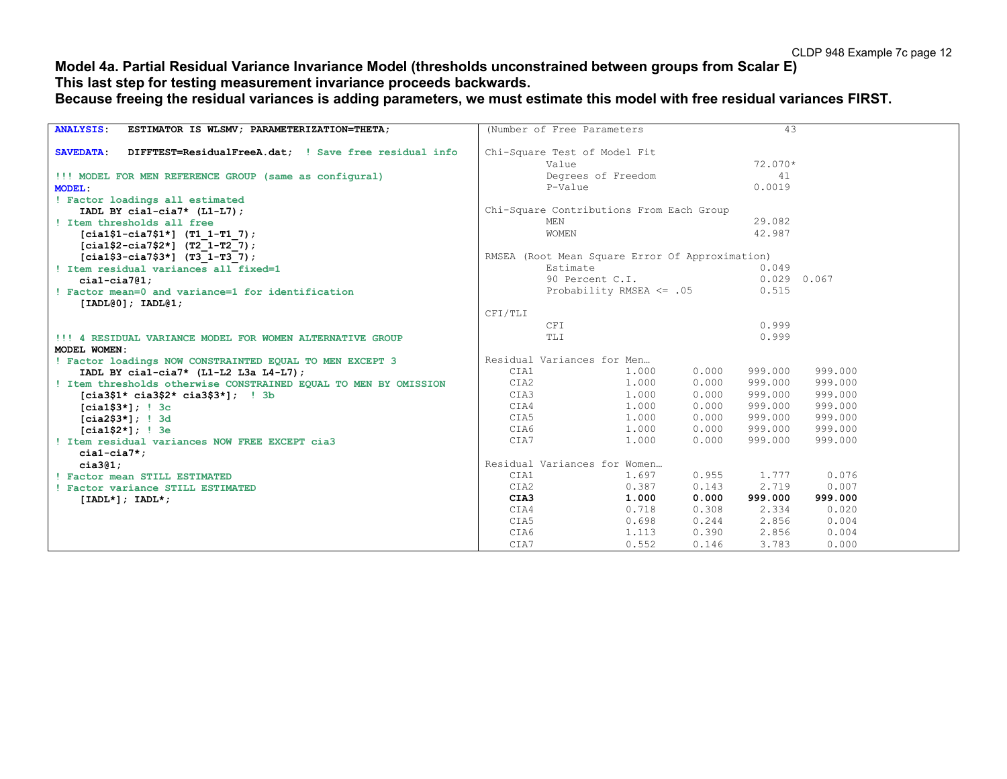## **Model 4a. Partial Residual Variance Invariance Model (thresholds unconstrained between groups from Scalar E) This last step for testing measurement invariance proceeds backwards.**

**Because freeing the residual variances is adding parameters, we must estimate this model with free residual variances FIRST.**

| ESTIMATOR IS WLSMV; PARAMETERIZATION=THETA;<br><b>ANALYSIS:</b>           |            | (Number of Free Parameters                      |       | 43            |         |  |
|---------------------------------------------------------------------------|------------|-------------------------------------------------|-------|---------------|---------|--|
|                                                                           |            |                                                 |       |               |         |  |
| DIFFTEST=ResidualFreeA.dat; ! Save free residual info<br><b>SAVEDATA:</b> |            | Chi-Square Test of Model Fit                    |       |               |         |  |
|                                                                           |            | Value                                           |       | 72.070*       |         |  |
| !!! MODEL FOR MEN REFERENCE GROUP (same as configural)                    |            | Degrees of Freedom                              |       | 41            |         |  |
| <b>MODEL:</b>                                                             |            | P-Value                                         |       | 0.0019        |         |  |
| ! Factor loadings all estimated                                           |            |                                                 |       |               |         |  |
| IADL BY cial-cia7* $(L1-L7)$ ;                                            |            | Chi-Square Contributions From Each Group        |       |               |         |  |
| ! Item thresholds all free                                                | <b>MEN</b> |                                                 |       | 29.082        |         |  |
| $[cia1$1-ci a7$1*]$ (T1 1-T1 7);                                          |            | WOMEN                                           |       | 42.987        |         |  |
| $[cia1$2-cia7$2*]$ (T2 1-T2 7);                                           |            |                                                 |       |               |         |  |
| $[cia1$3-cia7$3*]$ (T3 1-T3 7);                                           |            | RMSEA (Root Mean Square Error Of Approximation) |       |               |         |  |
| ! Item residual variances all fixed=1                                     |            | Estimate                                        |       | 0.049         |         |  |
| $cial-cia7@1;$                                                            |            | 90 Percent C.I.                                 |       | $0.029$ 0.067 |         |  |
| ! Factor mean=0 and variance=1 for identification                         |            | Probability RMSEA $\leq$ .05                    |       | 0.515         |         |  |
| [IADL@0]; IADL@1;                                                         |            |                                                 |       |               |         |  |
|                                                                           | CFI/TLI    |                                                 |       |               |         |  |
|                                                                           | CFI        |                                                 |       | 0.999         |         |  |
| !!! 4 RESIDUAL VARIANCE MODEL FOR WOMEN ALTERNATIVE GROUP                 | TLI        |                                                 |       | 0.999         |         |  |
| MODEL WOMEN:                                                              |            |                                                 |       |               |         |  |
| ! Factor loadings NOW CONSTRAINTED EQUAL TO MEN EXCEPT 3                  |            | Residual Variances for Men                      |       |               |         |  |
| IADL BY cial-cia7* $(L1-L2 L3a L4-L7)$ ;                                  | CIA1       | 1,000                                           | 0.000 | 999.000       | 999.000 |  |
| ! Item thresholds otherwise CONSTRAINED EQUAL TO MEN BY OMISSION          | CIA2       | 1,000                                           | 0.000 | 999.000       | 999.000 |  |
| $[cia3$1* cia3$2* cia3$3*];$ ! 3b                                         | CIA3       | 1.000                                           | 0.000 | 999.000       | 999.000 |  |
| $[cia1$3*];$ ! $3c$                                                       | CIA4       | 1.000                                           | 0.000 | 999.000       | 999.000 |  |
| $[cia2$3*];$ ! 3d                                                         | CIA5       | 1.000                                           | 0.000 | 999.000       | 999.000 |  |
| $[cia1$2*];$ ! 3e                                                         | CIA6       | 1.000                                           | 0.000 | 999.000       | 999.000 |  |
| ! Item residual variances NOW FREE EXCEPT cia3                            | CIA7       | 1.000                                           | 0.000 | 999.000       | 999.000 |  |
| $ci$ al-cia $7$ *;                                                        |            |                                                 |       |               |         |  |
| cia3@1;                                                                   |            | Residual Variances for Women                    |       |               |         |  |
| ! Factor mean STILL ESTIMATED                                             | CIA1       | 1.697                                           | 0.955 | 1.777         | 0.076   |  |
| Factor variance STILL ESTIMATED                                           | CIA2       | 0.387                                           | 0.143 | 2.719         | 0.007   |  |
| $[IADL*]; IADL*;$                                                         | CIA3       | 1.000                                           | 0.000 | 999.000       | 999.000 |  |
|                                                                           | CIA4       | 0.718                                           | 0.308 | 2.334         | 0.020   |  |
|                                                                           | CIA5       | 0.698                                           | 0.244 | 2.856         | 0.004   |  |
|                                                                           | CIA6       | 1.113                                           | 0.390 | 2.856         | 0.004   |  |
|                                                                           | CIA7       | 0.552                                           | 0.146 | 3.783         | 0.000   |  |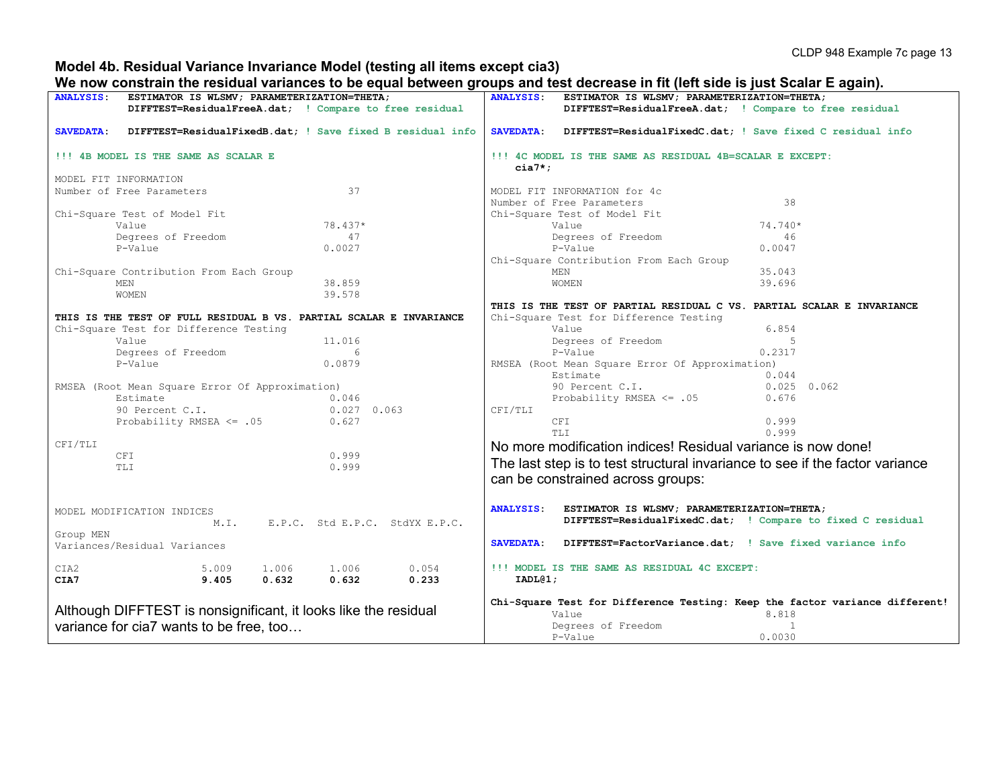#### **Model 4b. Residual Variance Invariance Model (testing all items except cia3)**

#### **We now constrain the residual variances to be equal between groups and test decrease in fit (left side is just Scalar E again).**

| ANALYSIS: ESTIMATOR IS WLSMV; PARAMETERIZATION=THETA;                         | <br>ANALYSIS: ESTIMATOR IS WLSMV; PARAMETERIZATION=THETA;                                                 |  |  |  |  |  |
|-------------------------------------------------------------------------------|-----------------------------------------------------------------------------------------------------------|--|--|--|--|--|
| DIFFTEST=ResidualFreeA.dat; ! Compare to free residual                        | DIFFTEST=ResidualFreeA.dat; ! Compare to free residual                                                    |  |  |  |  |  |
|                                                                               |                                                                                                           |  |  |  |  |  |
| <b>SAVEDATA:</b><br>DIFFTEST=ResidualFixedB.dat; ! Save fixed B residual info | <b>SAVEDATA:</b><br>DIFFTEST=ResidualFixedC.dat; ! Save fixed C residual info                             |  |  |  |  |  |
|                                                                               |                                                                                                           |  |  |  |  |  |
| !!! 4B MODEL IS THE SAME AS SCALAR E                                          | !!! 4C MODEL IS THE SAME AS RESIDUAL 4B=SCALAR E EXCEPT:<br>$cia7*$ ;                                     |  |  |  |  |  |
|                                                                               |                                                                                                           |  |  |  |  |  |
| MODEL FIT INFORMATION                                                         |                                                                                                           |  |  |  |  |  |
| 37<br>Number of Free Parameters                                               | MODEL FIT INFORMATION for 4c                                                                              |  |  |  |  |  |
|                                                                               | 38<br>Number of Free Parameters                                                                           |  |  |  |  |  |
| Chi-Square Test of Model Fit                                                  | Chi-Square Test of Model Fit                                                                              |  |  |  |  |  |
| 78.437*<br>Value                                                              | 74.740*<br>Value                                                                                          |  |  |  |  |  |
| Degrees of Freedom<br>47                                                      | Degrees of Freedom<br>46                                                                                  |  |  |  |  |  |
| 0.0027<br>P-Value                                                             | P-Value<br>0.0047                                                                                         |  |  |  |  |  |
|                                                                               | Chi-Square Contribution From Each Group                                                                   |  |  |  |  |  |
| Chi-Square Contribution From Each Group                                       | 35.043<br>MEN                                                                                             |  |  |  |  |  |
| 38.859<br>MEN                                                                 | WOMEN<br>39.696                                                                                           |  |  |  |  |  |
| WOMEN<br>39.578                                                               |                                                                                                           |  |  |  |  |  |
|                                                                               | THIS IS THE TEST OF PARTIAL RESIDUAL C VS. PARTIAL SCALAR E INVARIANCE                                    |  |  |  |  |  |
| THIS IS THE TEST OF FULL RESIDUAL B VS. PARTIAL SCALAR E INVARIANCE           | Chi-Square Test for Difference Testing                                                                    |  |  |  |  |  |
| Chi-Square Test for Difference Testing                                        | Value<br>6.854                                                                                            |  |  |  |  |  |
| Value<br>11.016                                                               | Degrees of Freedom<br>-5                                                                                  |  |  |  |  |  |
| Degrees of Freedom<br>6                                                       | 0.2317<br>P-Value                                                                                         |  |  |  |  |  |
| 0.0879<br>P-Value                                                             | RMSEA (Root Mean Square Error Of Approximation)                                                           |  |  |  |  |  |
|                                                                               | Estimate<br>0.044                                                                                         |  |  |  |  |  |
|                                                                               |                                                                                                           |  |  |  |  |  |
| RMSEA (Root Mean Square Error Of Approximation)                               | 90 Percent C.I.<br>$0.025$ 0.062                                                                          |  |  |  |  |  |
| Estimate<br>0.046<br>90 Percent C.I.                                          | Probability RMSEA <= .05<br>0.676                                                                         |  |  |  |  |  |
| $0.027$ 0.063                                                                 | CFI/TLI                                                                                                   |  |  |  |  |  |
| Probability RMSEA <= .05<br>0.627                                             | 0.999<br>CFI<br>0.999<br>TT.T                                                                             |  |  |  |  |  |
|                                                                               |                                                                                                           |  |  |  |  |  |
| CFI/TLI                                                                       | No more modification indices! Residual variance is now done!                                              |  |  |  |  |  |
| 0.999<br>CFI                                                                  | The last step is to test structural invariance to see if the factor variance                              |  |  |  |  |  |
| 0.999<br>TLI                                                                  |                                                                                                           |  |  |  |  |  |
|                                                                               | can be constrained across groups:                                                                         |  |  |  |  |  |
|                                                                               | <b>ANALYSIS:</b>                                                                                          |  |  |  |  |  |
| MODEL MODIFICATION INDICES                                                    | ESTIMATOR IS WLSMV; PARAMETERIZATION=THETA;<br>DIFFTEST=ResidualFixedC.dat; ! Compare to fixed C residual |  |  |  |  |  |
| M.I.<br>E.P.C. Std E.P.C. StdYX E.P.C.                                        |                                                                                                           |  |  |  |  |  |
| Group MEN                                                                     | DIFFTEST=FactorVariance.dat; ! Save fixed variance info<br><b>SAVEDATA:</b>                               |  |  |  |  |  |
| Variances/Residual Variances                                                  |                                                                                                           |  |  |  |  |  |
|                                                                               |                                                                                                           |  |  |  |  |  |
| CIA2<br>5.009<br>1.006 1.006<br>0.054                                         | !!! MODEL IS THE SAME AS RESIDUAL 4C EXCEPT:                                                              |  |  |  |  |  |
| 0.632<br>9.405<br>0.632<br>CIA7<br>0.233                                      | IADL@1;                                                                                                   |  |  |  |  |  |
|                                                                               | Chi-Square Test for Difference Testing: Keep the factor variance different!                               |  |  |  |  |  |
| Although DIFFTEST is nonsignificant, it looks like the residual               | Value<br>8.818                                                                                            |  |  |  |  |  |
| variance for cia7 wants to be free, too                                       | Degrees of Freedom<br>1                                                                                   |  |  |  |  |  |
|                                                                               | 0.0030<br>P-Value                                                                                         |  |  |  |  |  |
|                                                                               |                                                                                                           |  |  |  |  |  |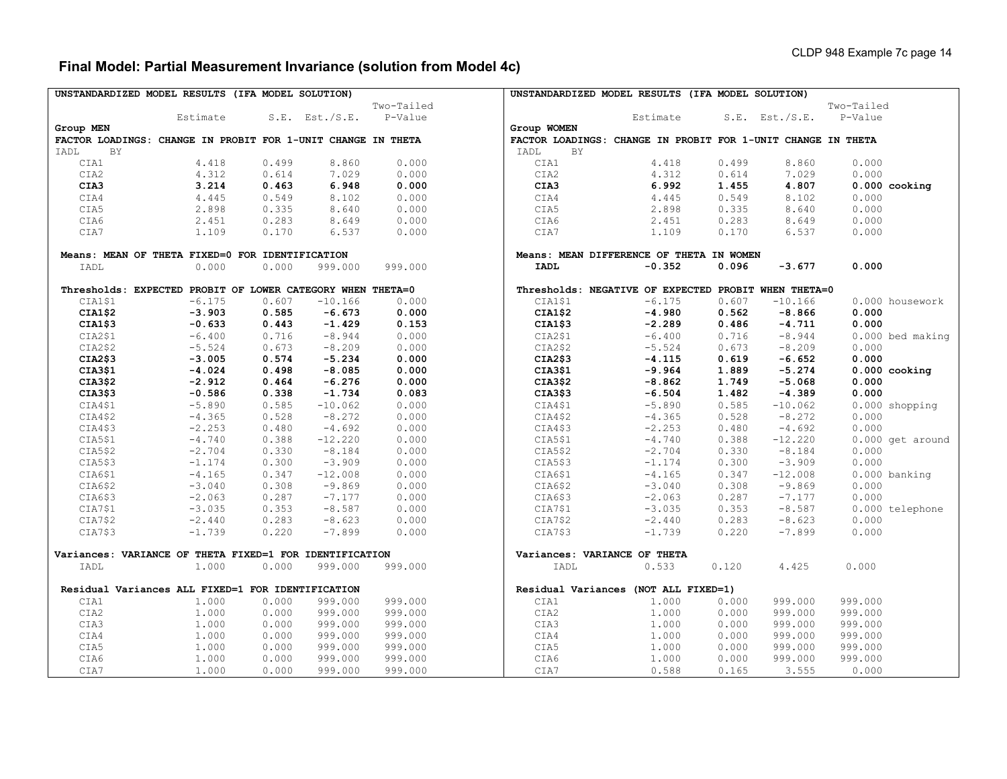## **Final Model: Partial Measurement Invariance (solution from Model 4c)**

|                                                              | UNSTANDARDIZED MODEL RESULTS (IFA MODEL SOLUTION)          |       |                     |            | UNSTANDARDIZED MODEL RESULTS (IFA MODEL SOLUTION)    |                                                              |       |                     |                  |  |  |  |
|--------------------------------------------------------------|------------------------------------------------------------|-------|---------------------|------------|------------------------------------------------------|--------------------------------------------------------------|-------|---------------------|------------------|--|--|--|
|                                                              |                                                            |       |                     | Two-Tailed |                                                      |                                                              |       |                     | Two-Tailed       |  |  |  |
|                                                              | Estimate                                                   |       | $S.E.$ Est./ $S.E.$ | P-Value    |                                                      | Estimate                                                     |       | $S.E.$ Est./ $S.E.$ | P-Value          |  |  |  |
| Group MEN                                                    |                                                            |       |                     |            | Group WOMEN                                          |                                                              |       |                     |                  |  |  |  |
| FACTOR LOADINGS: CHANGE IN PROBIT FOR 1-UNIT CHANGE IN THETA |                                                            |       |                     |            |                                                      | FACTOR LOADINGS: CHANGE IN PROBIT FOR 1-UNIT CHANGE IN THETA |       |                     |                  |  |  |  |
| <b>BY</b><br>IADL                                            |                                                            |       |                     |            | <b>BY</b><br>IADL                                    |                                                              |       |                     |                  |  |  |  |
| CIA1                                                         | 4.418                                                      | 0.499 | 8.860               | 0.000      | CIA1                                                 | 4.418                                                        | 0.499 | 8.860               | 0.000            |  |  |  |
| CIA2                                                         | 4.312                                                      | 0.614 | 7.029               | 0.000      | CIA2                                                 | 4.312                                                        | 0.614 | 7.029               | 0.000            |  |  |  |
| CIA3                                                         | 3.214                                                      | 0.463 | 6.948               | 0.000      | CIA3                                                 | 6.992                                                        | 1.455 | 4.807               | $0.000$ cooking  |  |  |  |
| CIA4                                                         | 4.445                                                      | 0.549 | 8.102               | 0.000      | CIA4                                                 | 4.445                                                        | 0.549 | 8.102               | 0.000            |  |  |  |
| CIA5                                                         | 2.898                                                      | 0.335 | 8.640               | 0.000      | CIA5                                                 | 2.898                                                        | 0.335 | 8.640               | 0.000            |  |  |  |
| CIA6                                                         | 2.451                                                      | 0.283 | 8.649               | 0.000      | CIA6                                                 | 2.451                                                        | 0.283 | 8.649               | 0.000            |  |  |  |
| CIA7                                                         | 1.109                                                      | 0.170 | 6.537               | 0.000      | CIA7                                                 | 1.109                                                        | 0.170 | 6.537               | 0.000            |  |  |  |
|                                                              |                                                            |       |                     |            |                                                      |                                                              |       |                     |                  |  |  |  |
|                                                              | Means: MEAN OF THETA FIXED=0 FOR IDENTIFICATION            |       |                     |            | Means: MEAN DIFFERENCE OF THETA IN WOMEN             |                                                              |       |                     |                  |  |  |  |
| IADL                                                         | 0.000                                                      | 0.000 | 999.000             | 999.000    | <b>IADL</b>                                          | $-0.352$                                                     | 0.096 | $-3.677$            | 0.000            |  |  |  |
|                                                              |                                                            |       |                     |            |                                                      |                                                              |       |                     |                  |  |  |  |
|                                                              | Thresholds: EXPECTED PROBIT OF LOWER CATEGORY WHEN THETA=0 |       |                     |            | Thresholds: NEGATIVE OF EXPECTED PROBIT WHEN THETA=0 |                                                              |       |                     |                  |  |  |  |
| CIA1\$1                                                      | $-6.175$                                                   | 0.607 | $-10.166$           | 0.000      | CIA1\$1                                              | $-6.175$                                                     | 0.607 | $-10.166$           | 0.000 housework  |  |  |  |
| CIA1\$2                                                      | $-3.903$                                                   | 0.585 | $-6.673$            | 0.000      | CIA1\$2                                              | $-4.980$                                                     | 0.562 | $-8.866$            | 0.000            |  |  |  |
| CIA1\$3                                                      | $-0.633$                                                   | 0.443 | $-1.429$            | 0.153      | CIA1\$3                                              | $-2.289$                                                     | 0.486 | $-4.711$            | 0.000            |  |  |  |
| CIA2\$1                                                      | $-6.400$                                                   | 0.716 | $-8.944$            | 0.000      | CIA2\$1                                              | $-6.400$                                                     | 0.716 | $-8.944$            | 0.000 bed making |  |  |  |
| CIA2\$2                                                      | $-5.524$                                                   | 0.673 | $-8.209$            | 0.000      | CIA2\$2                                              | $-5.524$                                                     | 0.673 | $-8,209$            | 0.000            |  |  |  |
| CIA2\$3                                                      | $-3.005$                                                   | 0.574 | $-5.234$            | 0.000      | CIA2\$3                                              | $-4.115$                                                     | 0.619 | $-6.652$            | 0.000            |  |  |  |
| CIA3\$1                                                      | $-4.024$                                                   | 0.498 | $-8.085$            | 0.000      | CIA3\$1                                              | $-9.964$                                                     | 1.889 | $-5.274$            | $0.000$ cooking  |  |  |  |
| CIA3\$2                                                      | $-2.912$                                                   | 0.464 | $-6.276$            | 0.000      | CIA3\$2                                              | $-8.862$                                                     | 1.749 | $-5.068$            | 0.000            |  |  |  |
| CIA3\$3                                                      | $-0.586$                                                   | 0.338 | $-1.734$            | 0.083      | CIA3\$3                                              | $-6.504$                                                     | 1.482 | $-4.389$            | 0.000            |  |  |  |
| CIA4\$1                                                      | $-5.890$                                                   | 0.585 | $-10.062$           | 0.000      | CIA4\$1                                              | $-5.890$                                                     | 0.585 | $-10.062$           | 0.000 shopping   |  |  |  |
| CIA4\$2                                                      | $-4.365$                                                   | 0.528 | $-8.272$            | 0.000      | CIA4\$2                                              | $-4.365$                                                     | 0.528 | $-8.272$            | 0.000            |  |  |  |
| CIA4\$3                                                      | $-2.253$                                                   | 0.480 | $-4.692$            | 0.000      | CIA4\$3                                              | $-2.253$                                                     | 0.480 | $-4.692$            | 0.000            |  |  |  |
| CIA5\$1                                                      | $-4.740$                                                   | 0.388 | $-12.220$           | 0.000      | CIA5\$1                                              | $-4.740$                                                     | 0.388 | $-12.220$           | 0.000 get around |  |  |  |
| CIA5\$2                                                      | $-2.704$                                                   | 0.330 | $-8.184$            | 0.000      | CIA5\$2                                              | $-2.704$                                                     | 0.330 | $-8.184$            | 0.000            |  |  |  |
| CIA5\$3                                                      | $-1.174$                                                   | 0.300 | $-3.909$            | 0.000      | CIA5\$3                                              | $-1.174$                                                     | 0.300 | $-3.909$            | 0.000            |  |  |  |
| CIA6\$1                                                      | $-4.165$                                                   | 0.347 | $-12.008$           | 0.000      | CIA6\$1                                              | $-4.165$                                                     | 0.347 | $-12.008$           | 0.000 banking    |  |  |  |
| CIA6\$2                                                      | $-3.040$                                                   | 0.308 | $-9.869$            | 0.000      | CIA6\$2                                              | $-3.040$                                                     | 0.308 | $-9.869$            | 0.000            |  |  |  |
| CIA6\$3                                                      | $-2.063$                                                   | 0.287 | $-7.177$            | 0.000      | CIA6\$3                                              | $-2.063$                                                     | 0.287 | $-7.177$            | 0.000            |  |  |  |
| CIA7\$1                                                      | $-3.035$                                                   | 0.353 | $-8.587$            | 0.000      | CIA7\$1                                              | $-3.035$                                                     | 0.353 | $-8.587$            | 0.000 telephone  |  |  |  |
| CIA7\$2                                                      | $-2.440$                                                   | 0.283 | $-8.623$            | 0.000      | CIA7\$2                                              | $-2.440$                                                     | 0.283 | $-8.623$            | 0.000            |  |  |  |
| CIA7\$3                                                      | $-1.739$                                                   | 0.220 | $-7.899$            | 0.000      | CIA7\$3                                              | $-1.739$                                                     | 0.220 | $-7.899$            | 0.000            |  |  |  |
|                                                              |                                                            |       |                     |            |                                                      |                                                              |       |                     |                  |  |  |  |
|                                                              | Variances: VARIANCE OF THETA FIXED=1 FOR IDENTIFICATION    |       |                     |            | Variances: VARIANCE OF THETA                         |                                                              |       |                     |                  |  |  |  |
| IADL                                                         | 1,000                                                      | 0.000 | 999.000             | 999.000    | IADL                                                 | 0.533                                                        | 0.120 | 4.425               | 0.000            |  |  |  |
|                                                              |                                                            |       |                     |            |                                                      |                                                              |       |                     |                  |  |  |  |
|                                                              | Residual Variances ALL FIXED=1 FOR IDENTIFICATION          |       |                     |            | Residual Variances (NOT ALL FIXED=1)                 |                                                              |       |                     |                  |  |  |  |
| CIA1                                                         | 1,000                                                      | 0.000 | 999.000             | 999.000    | CIA1                                                 | 1,000                                                        | 0.000 | 999.000             | 999.000          |  |  |  |
| CIA2                                                         | 1.000                                                      | 0.000 | 999.000             | 999.000    | CIA2                                                 | 1.000                                                        | 0.000 | 999.000             | 999.000          |  |  |  |
| CIA3                                                         | 1.000                                                      | 0.000 | 999.000             | 999.000    | CIA3                                                 | 1,000                                                        | 0.000 | 999.000             | 999.000          |  |  |  |
| CIA4                                                         | 1.000                                                      | 0.000 | 999.000             | 999.000    | CIA4                                                 | 1,000                                                        | 0.000 | 999.000             | 999.000          |  |  |  |
| CIA5                                                         | 1.000                                                      | 0.000 | 999.000             | 999.000    | CIA5                                                 | 1.000                                                        | 0.000 | 999.000             | 999.000          |  |  |  |
| CIA6                                                         | 1.000                                                      | 0.000 | 999.000             | 999.000    | CIA6                                                 | 1.000                                                        | 0.000 | 999.000             | 999.000          |  |  |  |
| CIA7                                                         | 1.000                                                      | 0.000 | 999.000             | 999.000    | CIA7                                                 | 0.588                                                        | 0.165 | 3.555               | 0.000            |  |  |  |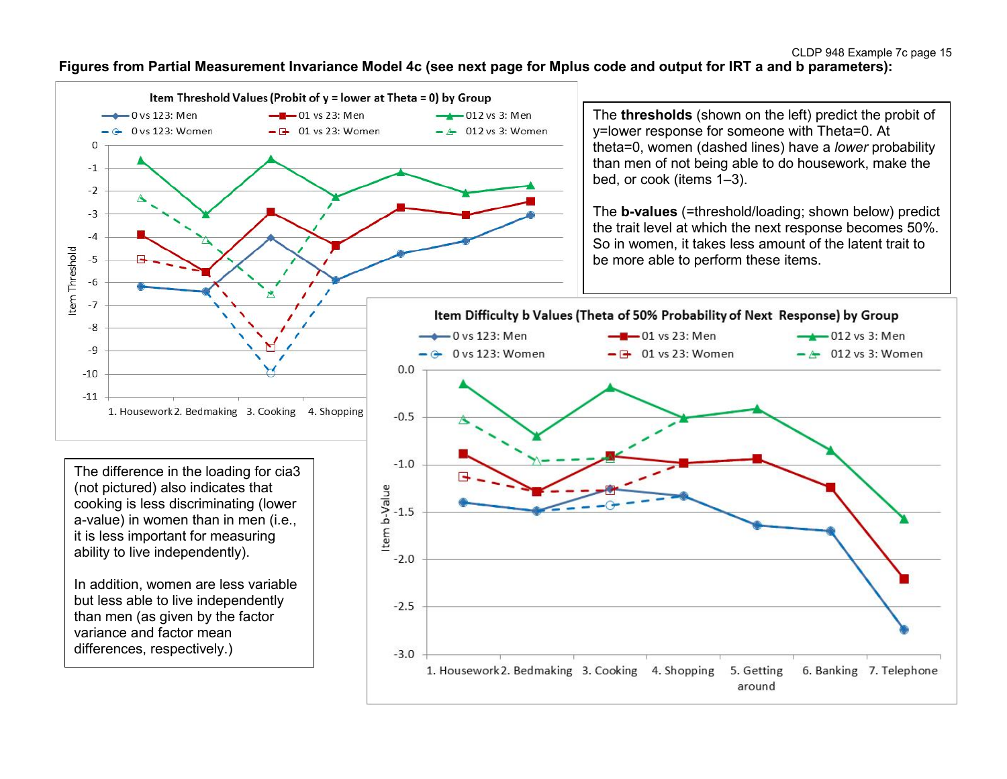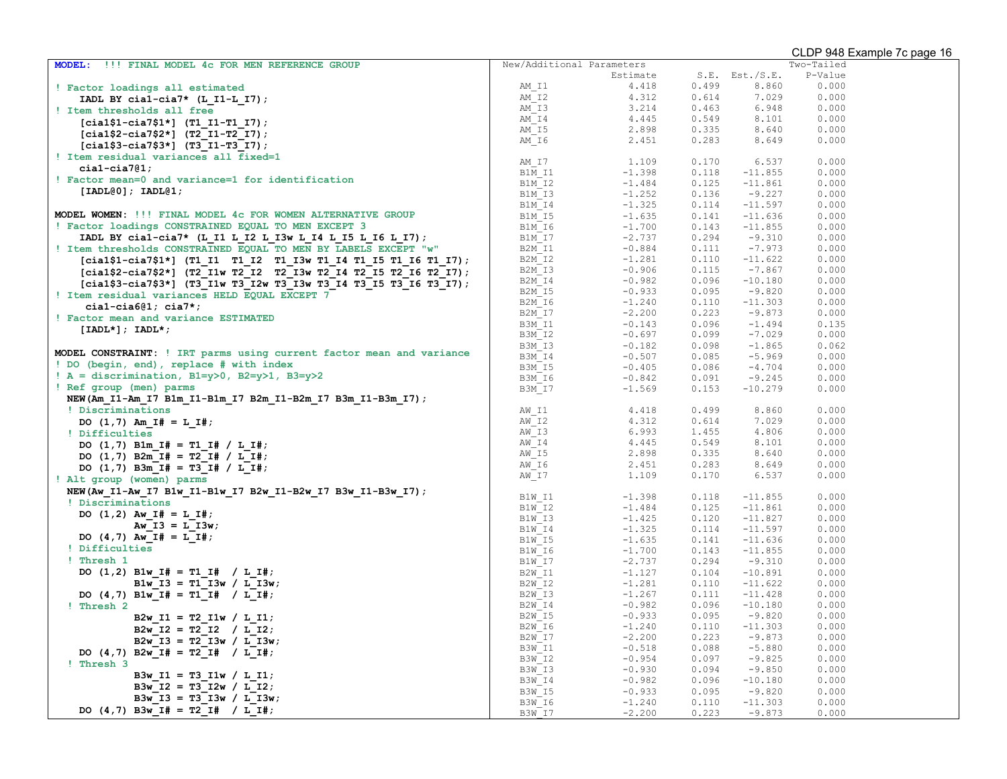| <b>MODEL:</b><br>!!! FINAL MODEL 4c FOR MEN REFERENCE GROUP          | New/Additional Parameters | Two-Tailed |       |                |         |  |
|----------------------------------------------------------------------|---------------------------|------------|-------|----------------|---------|--|
|                                                                      |                           | Estimate   |       | S.E. Est./S.E. | P-Value |  |
| ! Factor loadings all estimated                                      | AM I1                     | 4.418      | 0.499 | 8.860          | 0.000   |  |
| IADL BY cial-cia7* $(L_11-L_17)$ ;                                   | AM I2                     | 4.312      | 0.614 | 7.029          | 0.000   |  |
| ! Item thresholds all free                                           | AM I3                     | 3.214      | 0.463 | 6.948          | 0.000   |  |
| $[cia1$1-ci27$1*]$ (T1 I1-T1 I7);                                    | AM I4                     | 4.445      | 0.549 | 8.101          | 0.000   |  |
|                                                                      | AM I5                     | 2.898      | 0.335 | 8.640          | 0.000   |  |
| $[cia1$2-ci27$2*]$ (T2 I1-T2 I7);                                    | $AM_I6$                   | 2.451      | 0.283 | 8.649          | 0.000   |  |
| $[cia1$3-cia7$3*]$ (T3 I1-T3 I7);                                    |                           |            |       |                |         |  |
| ! Item residual variances all fixed=1                                | AM I7                     | 1.109      | 0.170 | 6.537          | 0.000   |  |
| $cial-cia7@1;$                                                       | B1M I1                    | $-1.398$   | 0.118 | $-11.855$      | 0.000   |  |
| ! Factor mean=0 and variance=1 for identification                    | B1M I2                    | $-1.484$   | 0.125 | $-11.861$      | 0.000   |  |
| [IADL@0]; IADL@1;                                                    | B1M I3                    | $-1.252$   | 0.136 | $-9.227$       | 0.000   |  |
|                                                                      | B1M I4                    | $-1.325$   | 0.114 | $-11.597$      | 0.000   |  |
| MODEL WOMEN: !!! FINAL MODEL 4c FOR WOMEN ALTERNATIVE GROUP          | B1M I5                    | $-1.635$   | 0.141 | $-11.636$      | 0.000   |  |
| ! Factor loadings CONSTRAINED EQUAL TO MEN EXCEPT 3                  | B1M I6                    | $-1.700$   | 0.143 | $-11.855$      | 0.000   |  |
| IADL BY cial-cia7* (L I1 L I2 L I3w L I4 L I5 L I6 L I7);            | B1M I7                    | $-2.737$   | 0.294 | $-9.310$       | 0.000   |  |
| ! Item thresholds CONSTRAINED EQUAL TO MEN BY LABELS EXCEPT "w"      | B2M I1                    | $-0.884$   | 0.111 | $-7.973$       | 0.000   |  |
| $[cia1$1-cia7$1*]$ (T1 I1 T1 I2 T1 I3w T1 I4 T1 I5 T1 I6 T1 I7);     | B2M I2                    | $-1.281$   | 0.110 | $-11.622$      | 0.000   |  |
|                                                                      | B2M I3                    | $-0.906$   | 0.115 | $-7.867$       | 0.000   |  |
| [cial\$2-cia7\$2*] (T2 I1w T2 I2 T2 I3w T2 I4 T2 I5 T2 I6 T2 I7);    | B2M I4                    | $-0.982$   | 0.096 | $-10.180$      | 0.000   |  |
| [cial\$3-cia7\$3*] (T3 I1w T3 I2w T3 I3w T3 I4 T3 I5 T3 I6 T3 I7);   | B2M I5                    | $-0.933$   | 0.095 | $-9.820$       | 0.000   |  |
| ! Item residual variances HELD EQUAL EXCEPT 7                        | B2M I6                    | $-1.240$   | 0.110 | $-11.303$      | 0.000   |  |
| $cial-cia6@1; cia7*;$                                                | B2M I7                    | $-2.200$   | 0.223 | $-9.873$       | 0.000   |  |
| ! Factor mean and variance ESTIMATED                                 | B3M I1                    | $-0.143$   | 0.096 | $-1.494$       | 0.135   |  |
| $[IADL*]; IADL*;$                                                    | B3M I2                    | $-0.697$   | 0.099 | $-7.029$       | 0.000   |  |
|                                                                      | B3M I3                    | $-0.182$   | 0.098 | $-1.865$       | 0.062   |  |
| MODEL CONSTRAINT: ! IRT parms using current factor mean and variance | B3M I4                    | $-0.507$   | 0.085 | $-5.969$       | 0.000   |  |
| ! DO (begin, end), replace # with index                              | B3M I5                    | $-0.405$   | 0.086 | $-4.704$       | 0.000   |  |
| $A =$ discrimination, B1=y>0, B2=y>1, B3=y>2                         | B3M I6                    | $-0.842$   | 0.091 | $-9.245$       | 0.000   |  |
| ! Ref group (men) parms                                              | B3M_I7                    | $-1.569$   | 0.153 | $-10.279$      | 0.000   |  |
| NEW(Am_I1-Am_I7 B1m_I1-B1m_I7 B2m_I1-B2m_I7 B3m_I1-B3m_I7);          |                           |            |       |                |         |  |
| ! Discriminations                                                    | AW I1                     | 4.418      | 0.499 | 8.860          | 0.000   |  |
|                                                                      | AW I2                     | 4.312      | 0.614 | 7.029          | 0.000   |  |
| DO $(1,7)$ Am I# = L I#;                                             | AW I3                     | 6.993      | 1.455 | 4.806          | 0.000   |  |
| ! Difficulties                                                       | AW I4                     | 4.445      | 0.549 | 8.101          | 0.000   |  |
| DO $(1,7)$ B1m I# = T1 I# / L I#;                                    | AW I5                     | 2.898      | 0.335 | 8.640          | 0.000   |  |
| DO $(1,7)$ B2m I# = T2 I# / L I#;                                    | AW I6                     | 2.451      | 0.283 | 8.649          | 0.000   |  |
| DO $(1,7)$ B3m I# = T3 I# / L I#;                                    | AW I7                     | 1.109      | 0.170 | 6.537          | 0.000   |  |
| ! Alt group (women) parms                                            |                           |            |       |                |         |  |
| NEW(Aw_I1-Aw_I7 B1w_I1-B1w_I7 B2w_I1-B2w_I7 B3w_I1-B3w_I7);          | B1W I1                    | $-1.398$   | 0.118 | $-11.855$      | 0.000   |  |
| ! Discriminations                                                    | B1W I2                    | $-1.484$   | 0.125 | $-11.861$      | 0.000   |  |
| DO $(1,2)$ Aw I# = L I#;                                             | B1W I3                    | $-1.425$   | 0.120 | $-11.827$      | 0.000   |  |
| Aw $I3 = L I3w$ ;                                                    | B1W I4                    | $-1.325$   | 0.114 | $-11.597$      | 0.000   |  |
| DO $(4,7)$ Aw I# = L I#;                                             | B1W I5                    | $-1.635$   | 0.141 | $-11.636$      | 0.000   |  |
| ! Difficulties                                                       | B1W I6                    | $-1.700$   | 0.143 | $-11.855$      | 0.000   |  |
| ! Thresh 1                                                           | B1W I7                    | $-2.737$   | 0.294 | $-9.310$       | 0.000   |  |
| DO $(1,2)$ Blw I# = T1 I# / L I#;                                    | B2W I1                    | $-1.127$   | 0.104 | $-10.891$      | 0.000   |  |
| B1w $I3 = T1$ $I3w / L I3w$ ;                                        | B2W I2                    | $-1.281$   | 0.110 | $-11.622$      | 0.000   |  |
| DO $(4,7)$ Blw I# = T1 I# / L I#;                                    | B2W I3                    | $-1.267$   | 0.111 | $-11.428$      | 0.000   |  |
| ! Thresh 2                                                           | B2W I4                    | $-0.982$   | 0.096 | $-10.180$      | 0.000   |  |
| B2w $I1 = T2 I1w / L I1;$                                            | B2W I5                    | $-0.933$   | 0.095 | $-9.820$       | 0.000   |  |
| B2w I2 = T2 I2 / L I2;                                               | B2W I6                    | $-1.240$   | 0.110 | $-11.303$      | 0.000   |  |
| B2w $I3 = T2$ $I3w / L I3w$ ;                                        | B2W I7                    | $-2.200$   | 0.223 | $-9.873$       | 0.000   |  |
|                                                                      | B3W I1                    | $-0.518$   | 0.088 | $-5.880$       | 0.000   |  |
| DO $(4,7)$ B2w_I# = T2_I# / L_I#;                                    | B3W I2                    | $-0.954$   | 0.097 | $-9.825$       | 0.000   |  |
| ! Thresh 3                                                           | B3W I3                    | $-0.930$   | 0.094 | $-9.850$       | 0.000   |  |
| B3w I1 = T3 I1w / L I1;                                              | B3W I4                    | $-0.982$   | 0.096 | $-10.180$      | 0.000   |  |
| B3w I2 = T3 I2w / L I2;                                              | B3W I5                    | $-0.933$   | 0.095 | $-9.820$       | 0.000   |  |
| B3w $I3 = T3$ $I3w / L$ $I3w$ ;                                      | B3W I6                    | $-1.240$   | 0.110 | $-11.303$      | 0.000   |  |
| DO $(4,7)$ B3w I# = T2 I# / L I#;                                    | B3W I7                    | $-2.200$   | 0.223 | $-9.873$       | 0.000   |  |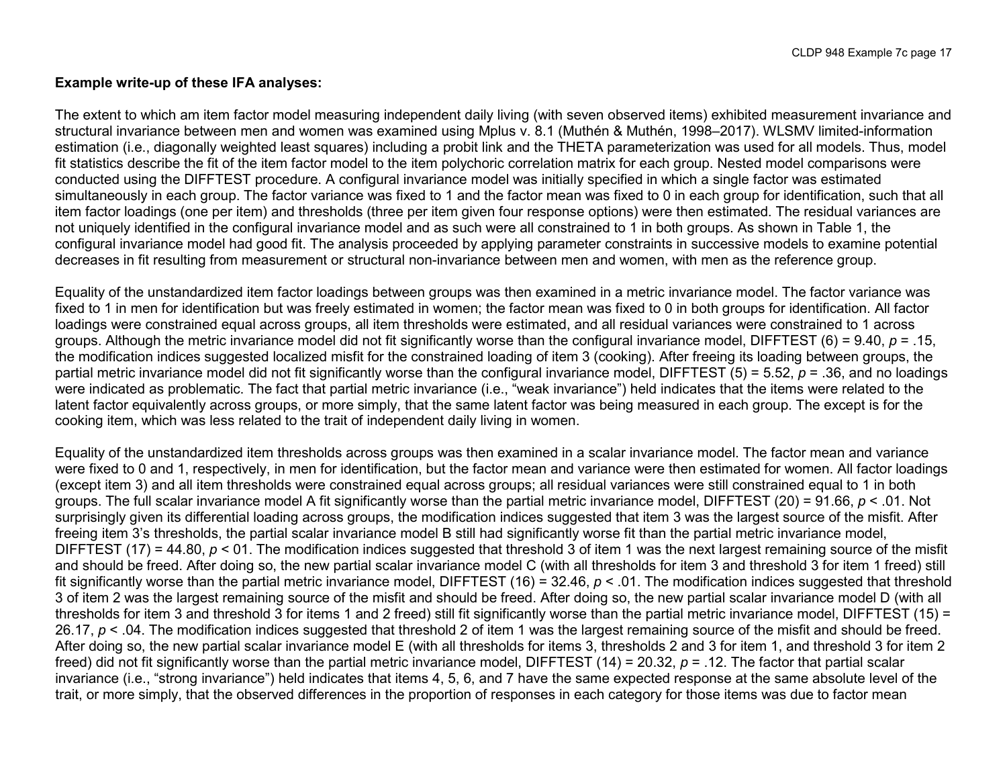### **Example write-up of these IFA analyses:**

The extent to which am item factor model measuring independent daily living (with seven observed items) exhibited measurement invariance and structural invariance between men and women was examined using Mplus v. 8.1 (Muthén & Muthén, 1998–2017). WLSMV limited-information estimation (i.e., diagonally weighted least squares) including a probit link and the THETA parameterization was used for all models. Thus, model fit statistics describe the fit of the item factor model to the item polychoric correlation matrix for each group. Nested model comparisons were conducted using the DIFFTEST procedure. A configural invariance model was initially specified in which a single factor was estimated simultaneously in each group. The factor variance was fixed to 1 and the factor mean was fixed to 0 in each group for identification, such that all item factor loadings (one per item) and thresholds (three per item given four response options) were then estimated. The residual variances are not uniquely identified in the configural invariance model and as such were all constrained to 1 in both groups. As shown in Table 1, the configural invariance model had good fit. The analysis proceeded by applying parameter constraints in successive models to examine potential decreases in fit resulting from measurement or structural non-invariance between men and women, with men as the reference group.

Equality of the unstandardized item factor loadings between groups was then examined in a metric invariance model. The factor variance was fixed to 1 in men for identification but was freely estimated in women; the factor mean was fixed to 0 in both groups for identification. All factor loadings were constrained equal across groups, all item thresholds were estimated, and all residual variances were constrained to 1 across groups. Although the metric invariance model did not fit significantly worse than the configural invariance model, DIFFTEST (6) = 9.40, *p* = .15, the modification indices suggested localized misfit for the constrained loading of item 3 (cooking). After freeing its loading between groups, the partial metric invariance model did not fit significantly worse than the configural invariance model, DIFFTEST (5) = 5.52, *p* = .36, and no loadings were indicated as problematic. The fact that partial metric invariance (i.e., "weak invariance") held indicates that the items were related to the latent factor equivalently across groups, or more simply, that the same latent factor was being measured in each group. The except is for the cooking item, which was less related to the trait of independent daily living in women.

Equality of the unstandardized item thresholds across groups was then examined in a scalar invariance model. The factor mean and variance were fixed to 0 and 1, respectively, in men for identification, but the factor mean and variance were then estimated for women. All factor loadings (except item 3) and all item thresholds were constrained equal across groups; all residual variances were still constrained equal to 1 in both groups. The full scalar invariance model A fit significantly worse than the partial metric invariance model, DIFFTEST (20) = 91.66, *p* < .01. Not surprisingly given its differential loading across groups, the modification indices suggested that item 3 was the largest source of the misfit. After freeing item 3's thresholds, the partial scalar invariance model B still had significantly worse fit than the partial metric invariance model, DIFFTEST (17) = 44.80,  $p < 01$ . The modification indices suggested that threshold 3 of item 1 was the next largest remaining source of the misfit and should be freed. After doing so, the new partial scalar invariance model C (with all thresholds for item 3 and threshold 3 for item 1 freed) still fit significantly worse than the partial metric invariance model, DIFFTEST (16) = 32.46, *p* < .01. The modification indices suggested that threshold 3 of item 2 was the largest remaining source of the misfit and should be freed. After doing so, the new partial scalar invariance model D (with all thresholds for item 3 and threshold 3 for items 1 and 2 freed) still fit significantly worse than the partial metric invariance model, DIFFTEST (15) = 26.17,  $p < 0.04$ . The modification indices suggested that threshold 2 of item 1 was the largest remaining source of the misfit and should be freed. After doing so, the new partial scalar invariance model E (with all thresholds for items 3, thresholds 2 and 3 for item 1, and threshold 3 for item 2 freed) did not fit significantly worse than the partial metric invariance model, DIFFTEST (14) = 20.32, *p* = .12. The factor that partial scalar invariance (i.e., "strong invariance") held indicates that items 4, 5, 6, and 7 have the same expected response at the same absolute level of the trait, or more simply, that the observed differences in the proportion of responses in each category for those items was due to factor mean